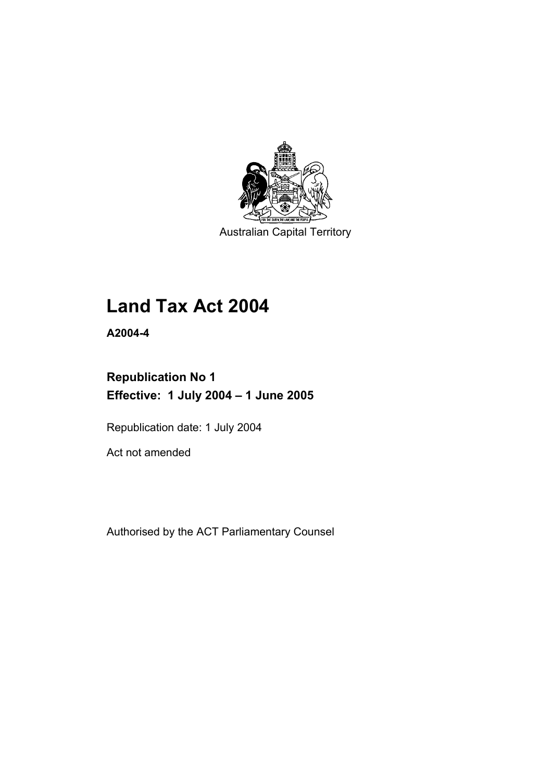

Australian Capital Territory

# **Land Tax Act 2004**

**A2004-4** 

# **Republication No 1 Effective: 1 July 2004 – 1 June 2005**

Republication date: 1 July 2004

Act not amended

Authorised by the ACT Parliamentary Counsel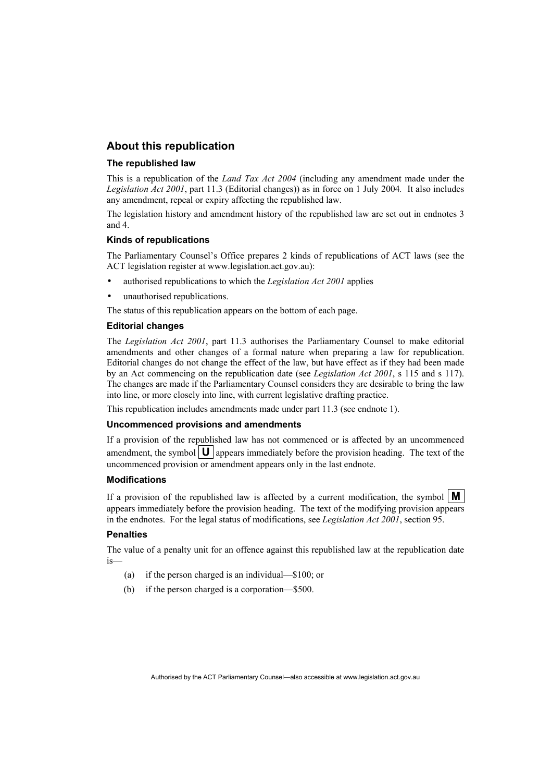#### **About this republication**

#### **The republished law**

This is a republication of the *Land Tax Act 2004* (including any amendment made under the *Legislation Act 2001*, part 11.3 (Editorial changes)) as in force on 1 July 2004*.* It also includes any amendment, repeal or expiry affecting the republished law.

The legislation history and amendment history of the republished law are set out in endnotes 3 and 4.

#### **Kinds of republications**

The Parliamentary Counsel's Office prepares 2 kinds of republications of ACT laws (see the ACT legislation register at www.legislation.act.gov.au):

- authorised republications to which the *Legislation Act 2001* applies
- unauthorised republications.

The status of this republication appears on the bottom of each page.

#### **Editorial changes**

The *Legislation Act 2001*, part 11.3 authorises the Parliamentary Counsel to make editorial amendments and other changes of a formal nature when preparing a law for republication. Editorial changes do not change the effect of the law, but have effect as if they had been made by an Act commencing on the republication date (see *Legislation Act 2001*, s 115 and s 117). The changes are made if the Parliamentary Counsel considers they are desirable to bring the law into line, or more closely into line, with current legislative drafting practice.

This republication includes amendments made under part 11.3 (see endnote 1).

#### **Uncommenced provisions and amendments**

If a provision of the republished law has not commenced or is affected by an uncommenced amendment, the symbol  $\mathbf{U}$  appears immediately before the provision heading. The text of the uncommenced provision or amendment appears only in the last endnote.

#### **Modifications**

If a provision of the republished law is affected by a current modification, the symbol  $\mathbf{M}$ appears immediately before the provision heading. The text of the modifying provision appears in the endnotes. For the legal status of modifications, see *Legislation Act 2001*, section 95.

#### **Penalties**

The value of a penalty unit for an offence against this republished law at the republication date is—

- (a) if the person charged is an individual—\$100; or
- (b) if the person charged is a corporation—\$500.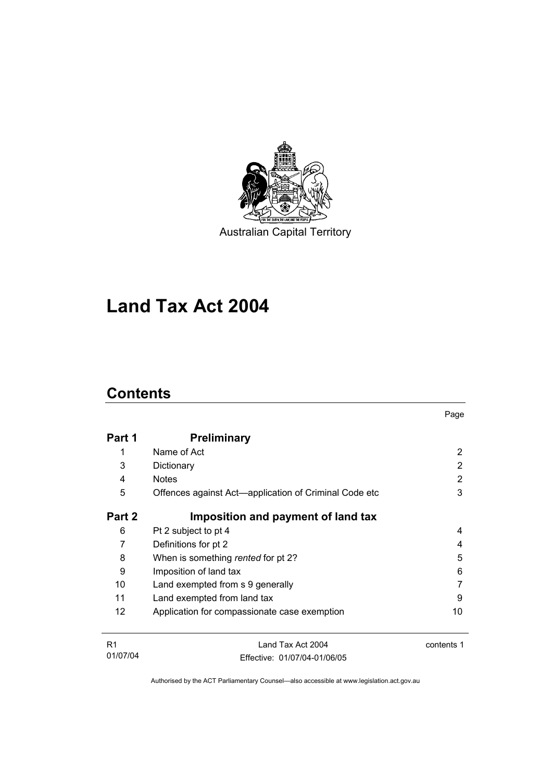

Australian Capital Territory

# **Land Tax Act 2004**

# **Contents**

| Part 1 | <b>Preliminary</b>                                    |    |
|--------|-------------------------------------------------------|----|
| 1      | Name of Act                                           | 2  |
| 3      | Dictionary                                            | 2  |
| 4      | <b>Notes</b>                                          | 2  |
| 5      | Offences against Act-application of Criminal Code etc | 3  |
| Part 2 | Imposition and payment of land tax                    |    |
| 6      | Pt 2 subject to pt 4                                  | 4  |
| 7      | Definitions for pt 2                                  | 4  |
| 8      | When is something rented for pt 2?                    | 5  |
| 9      | Imposition of land tax                                | 6  |
| 10     | Land exempted from s 9 generally                      |    |
| 11     | Land exempted from land tax                           | 9  |
| 12     | Application for compassionate case exemption          | 10 |
|        |                                                       |    |

Page

| R <sub>1</sub> | Land Tax Act 2004            | contents 1 |
|----------------|------------------------------|------------|
| 01/07/04       | Effective: 01/07/04-01/06/05 |            |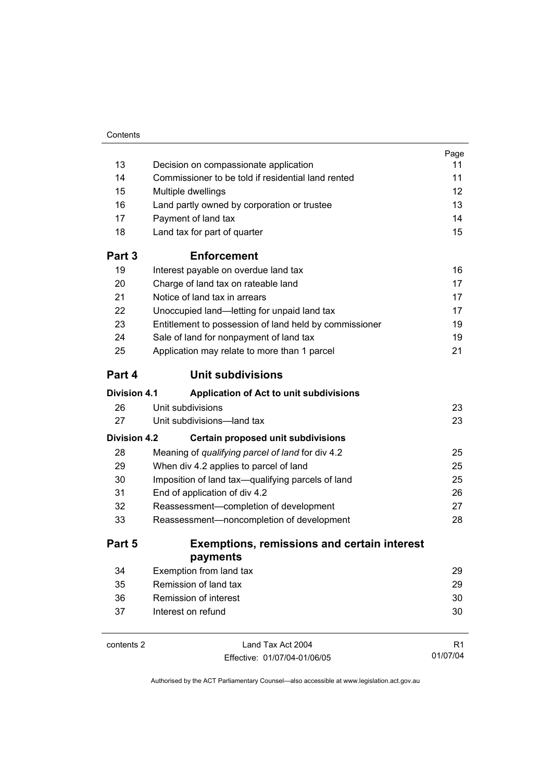| 13                  | Decision on compassionate application                  | 11             |
|---------------------|--------------------------------------------------------|----------------|
|                     |                                                        |                |
| 14                  | Commissioner to be told if residential land rented     | 11             |
| 15                  | Multiple dwellings                                     | 12             |
| 16                  | Land partly owned by corporation or trustee            | 13             |
| 17                  | Payment of land tax                                    | 14             |
| 18                  | Land tax for part of quarter                           | 15             |
| Part 3              | <b>Enforcement</b>                                     |                |
| 19                  | Interest payable on overdue land tax                   | 16             |
| 20                  | Charge of land tax on rateable land                    | 17             |
| 21                  | Notice of land tax in arrears                          | 17             |
| 22                  | Unoccupied land-letting for unpaid land tax            | 17             |
| 23                  | Entitlement to possession of land held by commissioner | 19             |
| 24                  | Sale of land for nonpayment of land tax                | 19             |
| 25                  | Application may relate to more than 1 parcel           | 21             |
| Part 4              | Unit subdivisions                                      |                |
| <b>Division 4.1</b> | Application of Act to unit subdivisions                |                |
| 26                  | Unit subdivisions                                      | 23             |
| 27                  | Unit subdivisions-land tax                             | 23             |
| <b>Division 4.2</b> | Certain proposed unit subdivisions                     |                |
| 28                  | Meaning of qualifying parcel of land for div 4.2       | 25             |
| 29                  | When div 4.2 applies to parcel of land                 | 25             |
| 30                  | Imposition of land tax-qualifying parcels of land      | 25             |
| 31                  | End of application of div 4.2                          | 26             |
| 32                  | Reassessment-completion of development                 | 27             |
| 33                  | Reassessment-noncompletion of development              | 28             |
| Part 5              | <b>Exemptions, remissions and certain interest</b>     |                |
|                     | payments                                               |                |
| 34                  | Exemption from land tax                                | 29             |
| 35                  | Remission of land tax                                  | 29             |
| 36                  | Remission of interest                                  | 30             |
| 37                  | Interest on refund                                     | 30             |
| contents 2          | Land Tax Act 2004                                      | R <sub>1</sub> |

Authorised by the ACT Parliamentary Counsel—also accessible at www.legislation.act.gov.au

01/07/04

Effective: 01/07/04-01/06/05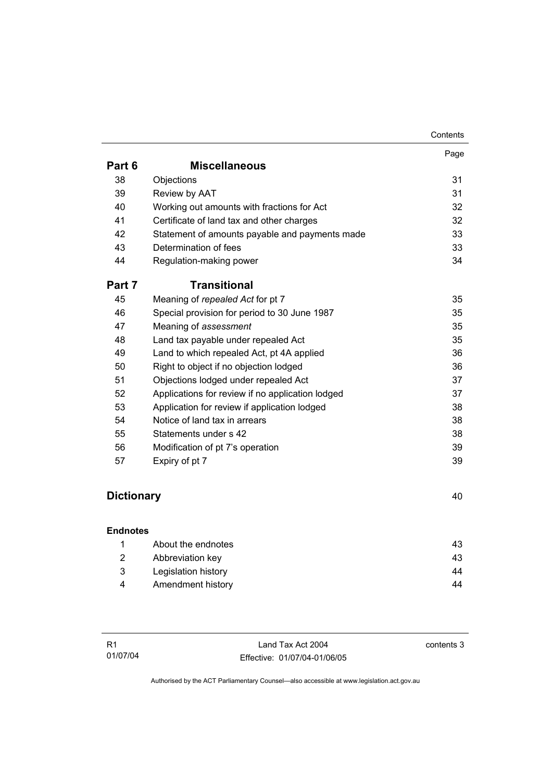|        |                                                  | Contents |
|--------|--------------------------------------------------|----------|
|        |                                                  | Page     |
| Part 6 | <b>Miscellaneous</b>                             |          |
| 38     | Objections                                       | 31       |
| 39     | Review by AAT                                    | 31       |
| 40     | Working out amounts with fractions for Act       | 32       |
| 41     | Certificate of land tax and other charges        | 32       |
| 42     | Statement of amounts payable and payments made   | 33       |
| 43     | Determination of fees                            | 33       |
| 44     | Regulation-making power                          | 34       |
| Part 7 | Transitional                                     |          |
| 45     | Meaning of repealed Act for pt 7                 | 35       |
| 46     | Special provision for period to 30 June 1987     | 35       |
| 47     | Meaning of assessment                            | 35       |
| 48     | Land tax payable under repealed Act              | 35       |
| 49     | Land to which repealed Act, pt 4A applied        | 36       |
| 50     | Right to object if no objection lodged           | 36       |
| 51     | Objections lodged under repealed Act             | 37       |
| 52     | Applications for review if no application lodged | 37       |
| 53     | Application for review if application lodged     | 38       |
| 54     | Notice of land tax in arrears                    | 38       |
| 55     | Statements under s 42                            | 38       |
| 56     | Modification of pt 7's operation                 | 39       |
| 57     | Expiry of pt 7                                   | 39       |

# **Dictionary** 40

| <b>Endnotes</b> |                     |    |
|-----------------|---------------------|----|
|                 | About the endnotes  | 43 |
| 2               | Abbreviation key    | 43 |
| 3               | Legislation history | 44 |
| 4               | Amendment history   | 44 |

contents 3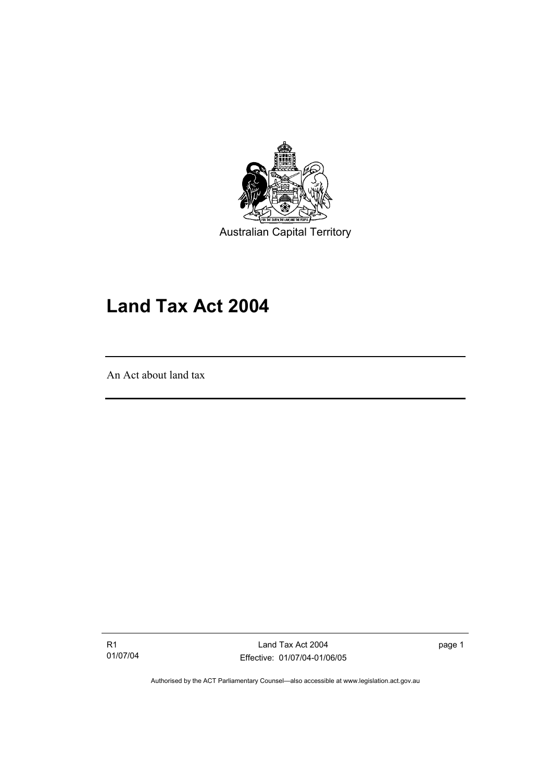

Australian Capital Territory

# **Land Tax Act 2004**

An Act about land tax

I

R1 01/07/04

Land Tax Act 2004 Effective: 01/07/04-01/06/05 page 1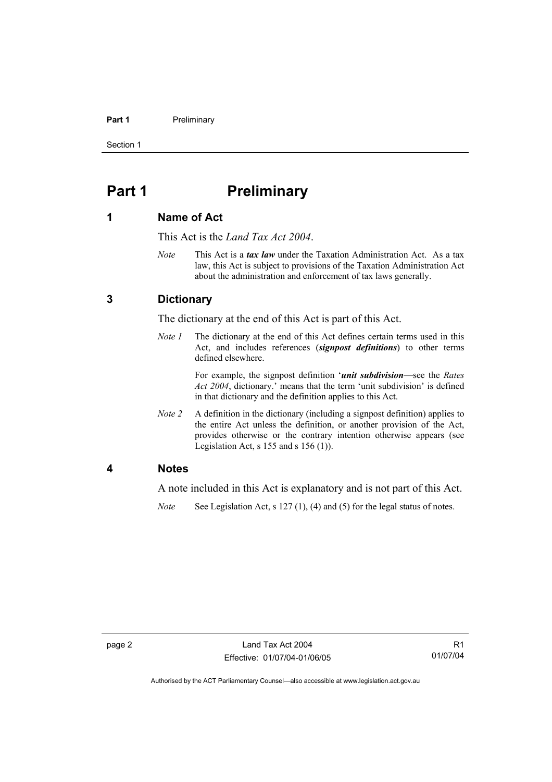#### **Part 1** Preliminary

Section 1

# **Part 1** Preliminary

#### **1 Name of Act**

This Act is the *Land Tax Act 2004*.

*Note* This Act is a *tax law* under the Taxation Administration Act. As a tax law, this Act is subject to provisions of the Taxation Administration Act about the administration and enforcement of tax laws generally.

#### **3 Dictionary**

The dictionary at the end of this Act is part of this Act.

*Note 1* The dictionary at the end of this Act defines certain terms used in this Act, and includes references (*signpost definitions*) to other terms defined elsewhere.

> For example, the signpost definition '*unit subdivision*—see the *Rates Act 2004*, dictionary.' means that the term 'unit subdivision' is defined in that dictionary and the definition applies to this Act.

*Note 2* A definition in the dictionary (including a signpost definition) applies to the entire Act unless the definition, or another provision of the Act, provides otherwise or the contrary intention otherwise appears (see Legislation Act,  $s$  155 and  $s$  156 (1)).

#### **4 Notes**

A note included in this Act is explanatory and is not part of this Act.

*Note* See Legislation Act, s 127 (1), (4) and (5) for the legal status of notes.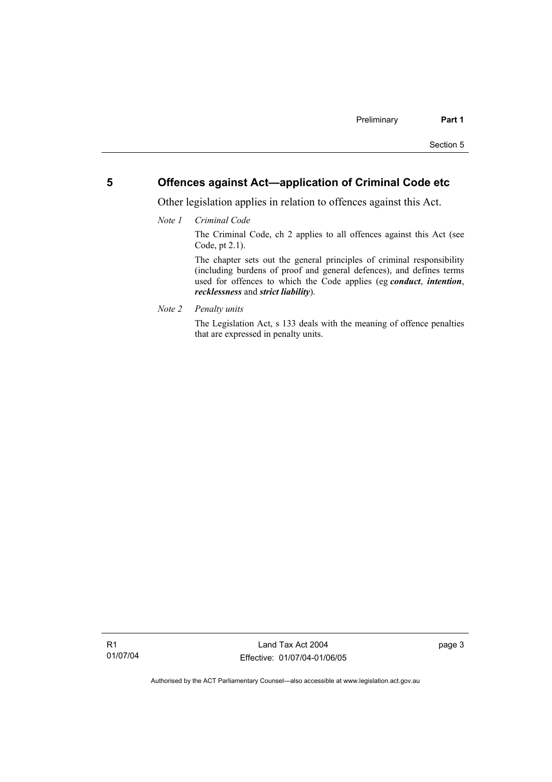### **5 Offences against Act—application of Criminal Code etc**

Other legislation applies in relation to offences against this Act.

*Note 1 Criminal Code*

The Criminal Code, ch 2 applies to all offences against this Act (see Code, pt 2.1).

The chapter sets out the general principles of criminal responsibility (including burdens of proof and general defences), and defines terms used for offences to which the Code applies (eg *conduct*, *intention*, *recklessness* and *strict liability*).

*Note 2 Penalty units* 

The Legislation Act, s 133 deals with the meaning of offence penalties that are expressed in penalty units.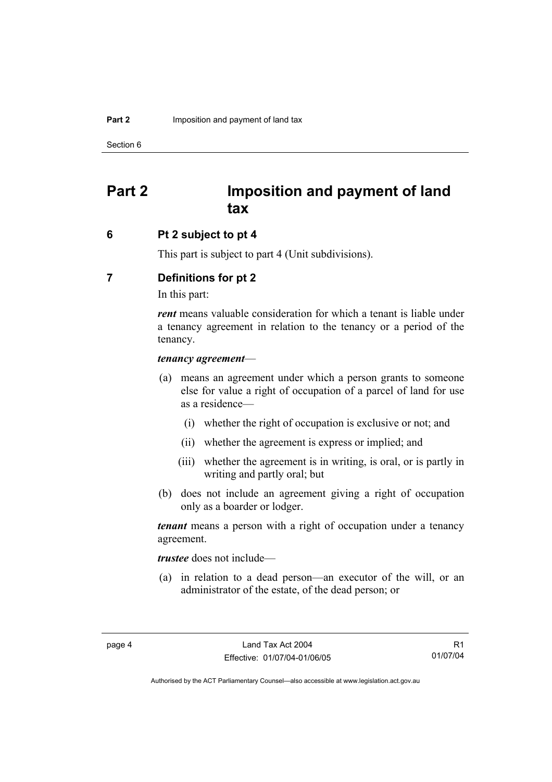Section 6

# **Part 2 Imposition and payment of land tax**

#### **6 Pt 2 subject to pt 4**

This part is subject to part 4 (Unit subdivisions).

### **7 Definitions for pt 2**

In this part:

*rent* means valuable consideration for which a tenant is liable under a tenancy agreement in relation to the tenancy or a period of the tenancy.

#### *tenancy agreement*—

- (a) means an agreement under which a person grants to someone else for value a right of occupation of a parcel of land for use as a residence—
	- (i) whether the right of occupation is exclusive or not; and
	- (ii) whether the agreement is express or implied; and
	- (iii) whether the agreement is in writing, is oral, or is partly in writing and partly oral; but
- (b) does not include an agreement giving a right of occupation only as a boarder or lodger.

*tenant* means a person with a right of occupation under a tenancy agreement.

*trustee* does not include—

 (a) in relation to a dead person—an executor of the will, or an administrator of the estate, of the dead person; or

R1 01/07/04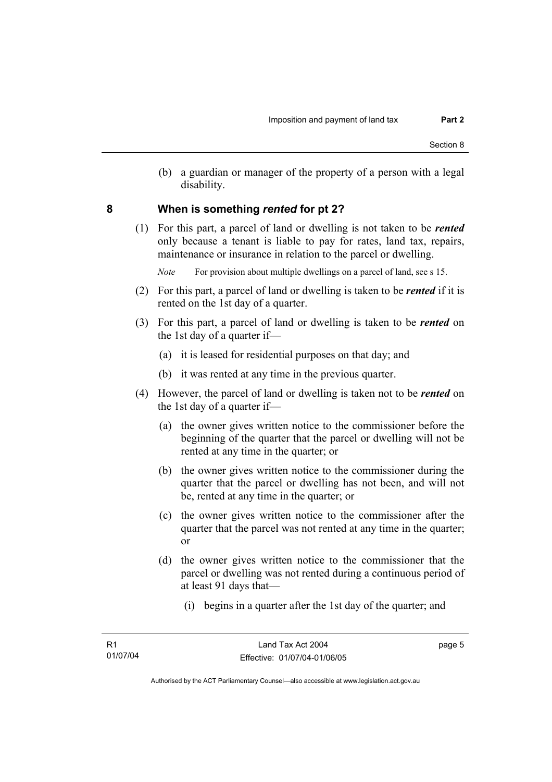(b) a guardian or manager of the property of a person with a legal disability.

#### **8 When is something** *rented* **for pt 2?**

 (1) For this part, a parcel of land or dwelling is not taken to be *rented* only because a tenant is liable to pay for rates, land tax, repairs, maintenance or insurance in relation to the parcel or dwelling.

*Note* For provision about multiple dwellings on a parcel of land, see s 15.

- (2) For this part, a parcel of land or dwelling is taken to be *rented* if it is rented on the 1st day of a quarter.
- (3) For this part, a parcel of land or dwelling is taken to be *rented* on the 1st day of a quarter if—
	- (a) it is leased for residential purposes on that day; and
	- (b) it was rented at any time in the previous quarter.
- (4) However, the parcel of land or dwelling is taken not to be *rented* on the 1st day of a quarter if—
	- (a) the owner gives written notice to the commissioner before the beginning of the quarter that the parcel or dwelling will not be rented at any time in the quarter; or
	- (b) the owner gives written notice to the commissioner during the quarter that the parcel or dwelling has not been, and will not be, rented at any time in the quarter; or
	- (c) the owner gives written notice to the commissioner after the quarter that the parcel was not rented at any time in the quarter; or
	- (d) the owner gives written notice to the commissioner that the parcel or dwelling was not rented during a continuous period of at least 91 days that—
		- (i) begins in a quarter after the 1st day of the quarter; and

page 5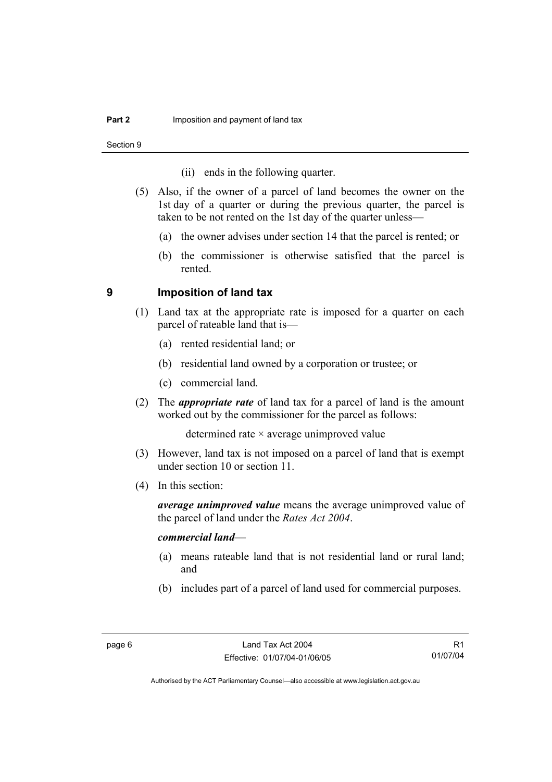Section 9

- (ii) ends in the following quarter.
- (5) Also, if the owner of a parcel of land becomes the owner on the 1st day of a quarter or during the previous quarter, the parcel is taken to be not rented on the 1st day of the quarter unless—
	- (a) the owner advises under section 14 that the parcel is rented; or
	- (b) the commissioner is otherwise satisfied that the parcel is rented.

#### **9 Imposition of land tax**

- (1) Land tax at the appropriate rate is imposed for a quarter on each parcel of rateable land that is—
	- (a) rented residential land; or
	- (b) residential land owned by a corporation or trustee; or
	- (c) commercial land.
- (2) The *appropriate rate* of land tax for a parcel of land is the amount worked out by the commissioner for the parcel as follows:

determined rate × average unimproved value

- (3) However, land tax is not imposed on a parcel of land that is exempt under section 10 or section 11.
- (4) In this section:

*average unimproved value* means the average unimproved value of the parcel of land under the *Rates Act 2004*.

#### *commercial land*—

- (a) means rateable land that is not residential land or rural land; and
- (b) includes part of a parcel of land used for commercial purposes.

R1 01/07/04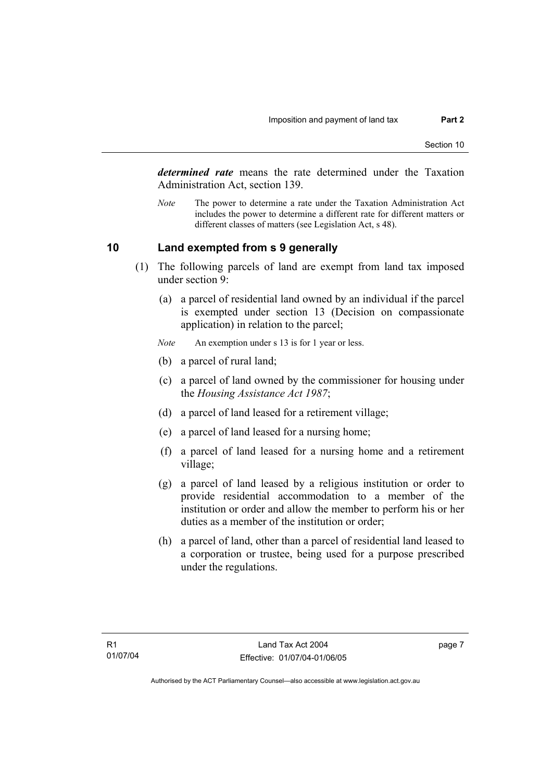*determined rate* means the rate determined under the Taxation Administration Act, section 139.

*Note* The power to determine a rate under the Taxation Administration Act includes the power to determine a different rate for different matters or different classes of matters (see Legislation Act, s 48).

#### **10 Land exempted from s 9 generally**

- (1) The following parcels of land are exempt from land tax imposed under section 9:
	- (a) a parcel of residential land owned by an individual if the parcel is exempted under section 13 (Decision on compassionate application) in relation to the parcel;
	- *Note* An exemption under s 13 is for 1 year or less.
	- (b) a parcel of rural land;
	- (c) a parcel of land owned by the commissioner for housing under the *Housing Assistance Act 1987*;
	- (d) a parcel of land leased for a retirement village;
	- (e) a parcel of land leased for a nursing home;
	- (f) a parcel of land leased for a nursing home and a retirement village;
	- (g) a parcel of land leased by a religious institution or order to provide residential accommodation to a member of the institution or order and allow the member to perform his or her duties as a member of the institution or order;
	- (h) a parcel of land, other than a parcel of residential land leased to a corporation or trustee, being used for a purpose prescribed under the regulations.

page 7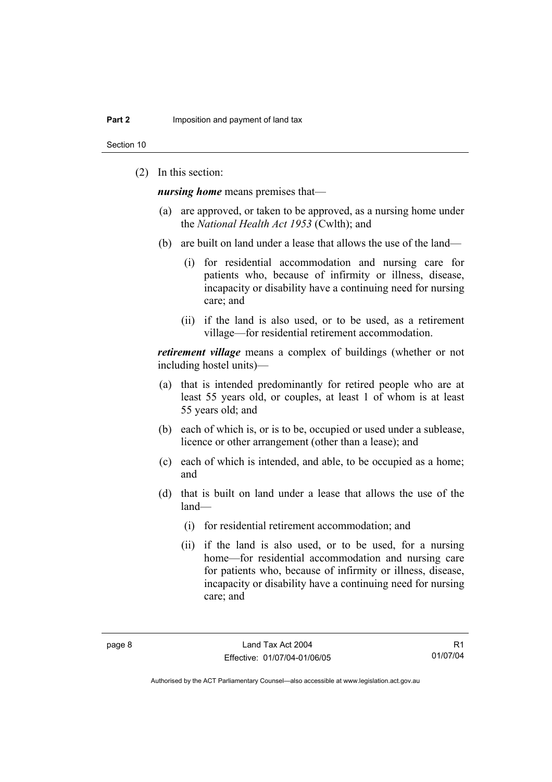Section 10

(2) In this section:

*nursing home* means premises that—

- (a) are approved, or taken to be approved, as a nursing home under the *National Health Act 1953* (Cwlth); and
- (b) are built on land under a lease that allows the use of the land—
	- (i) for residential accommodation and nursing care for patients who, because of infirmity or illness, disease, incapacity or disability have a continuing need for nursing care; and
	- (ii) if the land is also used, or to be used, as a retirement village—for residential retirement accommodation.

*retirement village* means a complex of buildings (whether or not including hostel units)—

- (a) that is intended predominantly for retired people who are at least 55 years old, or couples, at least 1 of whom is at least 55 years old; and
- (b) each of which is, or is to be, occupied or used under a sublease, licence or other arrangement (other than a lease); and
- (c) each of which is intended, and able, to be occupied as a home; and
- (d) that is built on land under a lease that allows the use of the land—
	- (i) for residential retirement accommodation; and
	- (ii) if the land is also used, or to be used, for a nursing home—for residential accommodation and nursing care for patients who, because of infirmity or illness, disease, incapacity or disability have a continuing need for nursing care; and

R1 01/07/04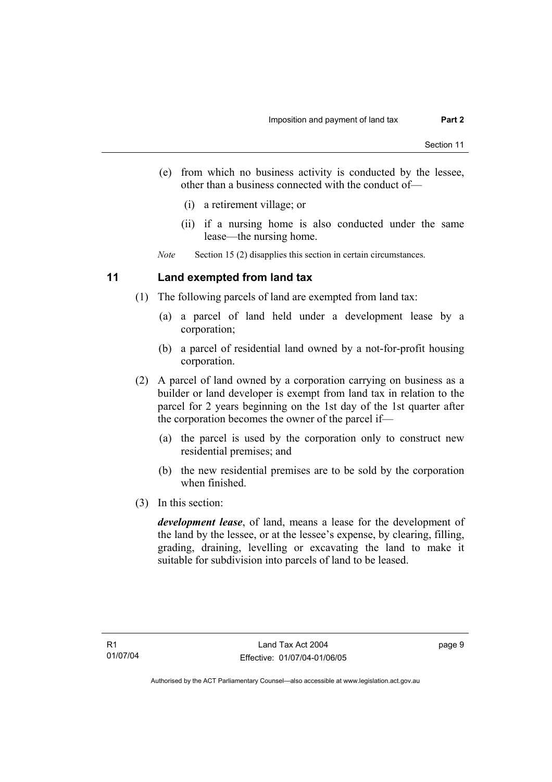- (e) from which no business activity is conducted by the lessee, other than a business connected with the conduct of—
	- (i) a retirement village; or
	- (ii) if a nursing home is also conducted under the same lease—the nursing home.

*Note* Section 15 (2) disapplies this section in certain circumstances.

#### **11 Land exempted from land tax**

- (1) The following parcels of land are exempted from land tax:
	- (a) a parcel of land held under a development lease by a corporation;
	- (b) a parcel of residential land owned by a not-for-profit housing corporation.
- (2) A parcel of land owned by a corporation carrying on business as a builder or land developer is exempt from land tax in relation to the parcel for 2 years beginning on the 1st day of the 1st quarter after the corporation becomes the owner of the parcel if—
	- (a) the parcel is used by the corporation only to construct new residential premises; and
	- (b) the new residential premises are to be sold by the corporation when finished.
- (3) In this section:

*development lease*, of land, means a lease for the development of the land by the lessee, or at the lessee's expense, by clearing, filling, grading, draining, levelling or excavating the land to make it suitable for subdivision into parcels of land to be leased.

page 9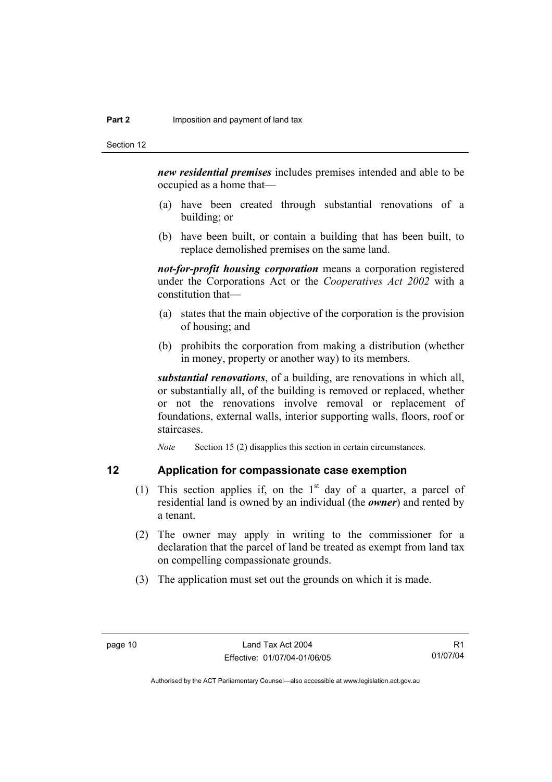*new residential premises* includes premises intended and able to be occupied as a home that—

- (a) have been created through substantial renovations of a building; or
- (b) have been built, or contain a building that has been built, to replace demolished premises on the same land.

*not-for-profit housing corporation* means a corporation registered under the Corporations Act or the *Cooperatives Act 2002* with a constitution that—

- (a) states that the main objective of the corporation is the provision of housing; and
- (b) prohibits the corporation from making a distribution (whether in money, property or another way) to its members.

*substantial renovations*, of a building, are renovations in which all, or substantially all, of the building is removed or replaced, whether or not the renovations involve removal or replacement of foundations, external walls, interior supporting walls, floors, roof or staircases.

*Note* Section 15 (2) disapplies this section in certain circumstances.

#### **12 Application for compassionate case exemption**

- (1) This section applies if, on the  $1<sup>st</sup>$  day of a quarter, a parcel of residential land is owned by an individual (the *owner*) and rented by a tenant.
- (2) The owner may apply in writing to the commissioner for a declaration that the parcel of land be treated as exempt from land tax on compelling compassionate grounds.
- (3) The application must set out the grounds on which it is made.

R1 01/07/04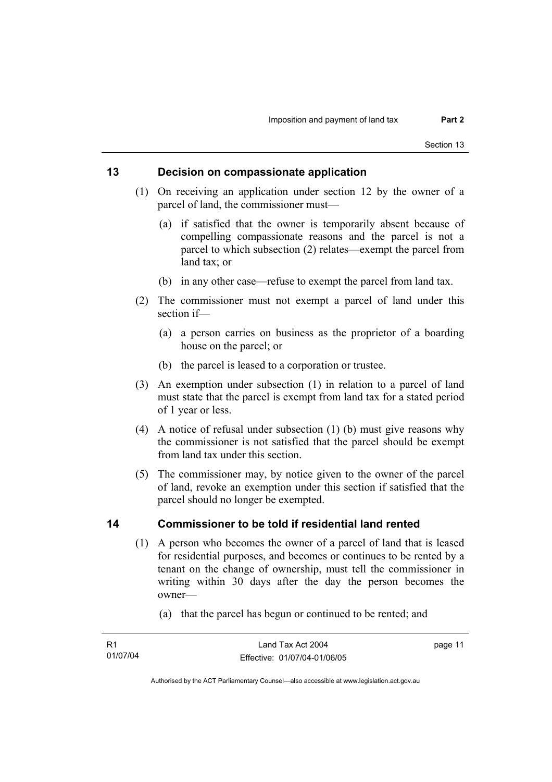### **13 Decision on compassionate application**

- (1) On receiving an application under section 12 by the owner of a parcel of land, the commissioner must—
	- (a) if satisfied that the owner is temporarily absent because of compelling compassionate reasons and the parcel is not a parcel to which subsection (2) relates—exempt the parcel from land tax; or
	- (b) in any other case—refuse to exempt the parcel from land tax.
- (2) The commissioner must not exempt a parcel of land under this section if—
	- (a) a person carries on business as the proprietor of a boarding house on the parcel; or
	- (b) the parcel is leased to a corporation or trustee.
- (3) An exemption under subsection (1) in relation to a parcel of land must state that the parcel is exempt from land tax for a stated period of 1 year or less.
- (4) A notice of refusal under subsection (1) (b) must give reasons why the commissioner is not satisfied that the parcel should be exempt from land tax under this section.
- (5) The commissioner may, by notice given to the owner of the parcel of land, revoke an exemption under this section if satisfied that the parcel should no longer be exempted.

#### **14 Commissioner to be told if residential land rented**

- (1) A person who becomes the owner of a parcel of land that is leased for residential purposes, and becomes or continues to be rented by a tenant on the change of ownership, must tell the commissioner in writing within 30 days after the day the person becomes the owner—
	- (a) that the parcel has begun or continued to be rented; and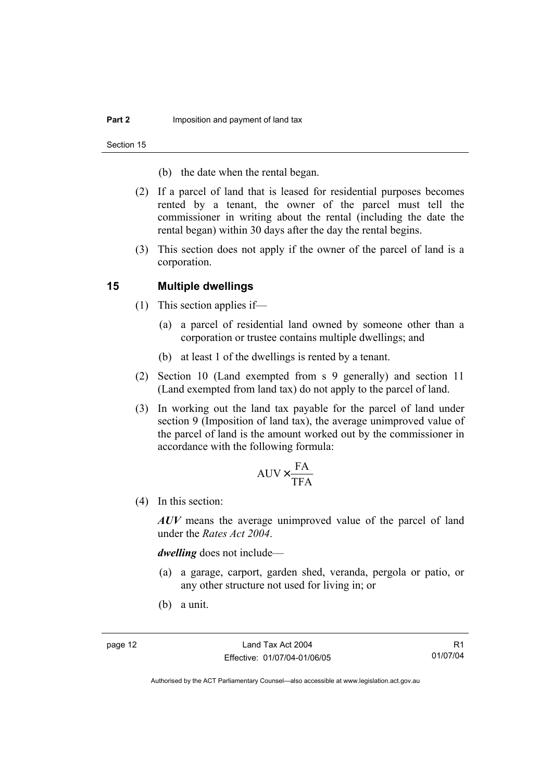Section 15

- (b) the date when the rental began.
- (2) If a parcel of land that is leased for residential purposes becomes rented by a tenant, the owner of the parcel must tell the commissioner in writing about the rental (including the date the rental began) within 30 days after the day the rental begins.
- (3) This section does not apply if the owner of the parcel of land is a corporation.

#### **15 Multiple dwellings**

- (1) This section applies if—
	- (a) a parcel of residential land owned by someone other than a corporation or trustee contains multiple dwellings; and
	- (b) at least 1 of the dwellings is rented by a tenant.
- (2) Section 10 (Land exempted from s 9 generally) and section 11 (Land exempted from land tax) do not apply to the parcel of land.
- (3) In working out the land tax payable for the parcel of land under section 9 (Imposition of land tax), the average unimproved value of the parcel of land is the amount worked out by the commissioner in accordance with the following formula:

$$
AUV \times \frac{FA}{TFA}
$$

(4) In this section:

*AUV* means the average unimproved value of the parcel of land under the *Rates Act 2004*.

*dwelling* does not include—

- (a) a garage, carport, garden shed, veranda, pergola or patio, or any other structure not used for living in; or
- (b) a unit.

R1 01/07/04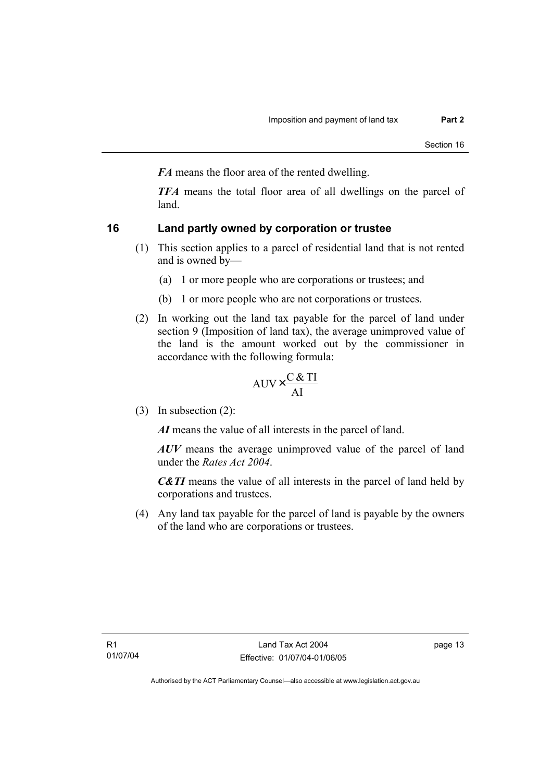*FA* means the floor area of the rented dwelling.

*TFA* means the total floor area of all dwellings on the parcel of land.

### **16 Land partly owned by corporation or trustee**

- (1) This section applies to a parcel of residential land that is not rented and is owned by—
	- (a) 1 or more people who are corporations or trustees; and
	- (b) 1 or more people who are not corporations or trustees.
- (2) In working out the land tax payable for the parcel of land under section 9 (Imposition of land tax), the average unimproved value of the land is the amount worked out by the commissioner in accordance with the following formula:

$$
AUV \times \frac{C & TI}{AI}
$$

(3) In subsection (2):

*AI* means the value of all interests in the parcel of land.

*AUV* means the average unimproved value of the parcel of land under the *Rates Act 2004*.

*C&TI* means the value of all interests in the parcel of land held by corporations and trustees.

 (4) Any land tax payable for the parcel of land is payable by the owners of the land who are corporations or trustees.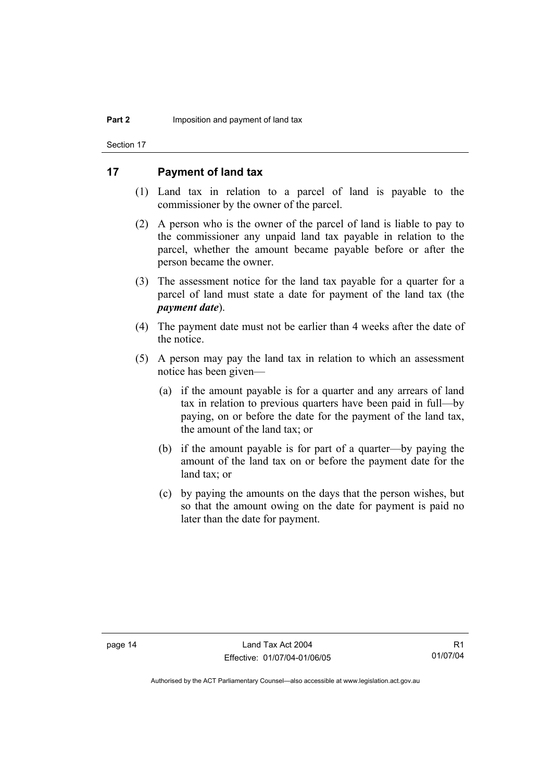Section 17

#### **17 Payment of land tax**

- (1) Land tax in relation to a parcel of land is payable to the commissioner by the owner of the parcel.
- (2) A person who is the owner of the parcel of land is liable to pay to the commissioner any unpaid land tax payable in relation to the parcel, whether the amount became payable before or after the person became the owner.
- (3) The assessment notice for the land tax payable for a quarter for a parcel of land must state a date for payment of the land tax (the *payment date*).
- (4) The payment date must not be earlier than 4 weeks after the date of the notice.
- (5) A person may pay the land tax in relation to which an assessment notice has been given—
	- (a) if the amount payable is for a quarter and any arrears of land tax in relation to previous quarters have been paid in full—by paying, on or before the date for the payment of the land tax, the amount of the land tax; or
	- (b) if the amount payable is for part of a quarter—by paying the amount of the land tax on or before the payment date for the land tax; or
	- (c) by paying the amounts on the days that the person wishes, but so that the amount owing on the date for payment is paid no later than the date for payment.

R1 01/07/04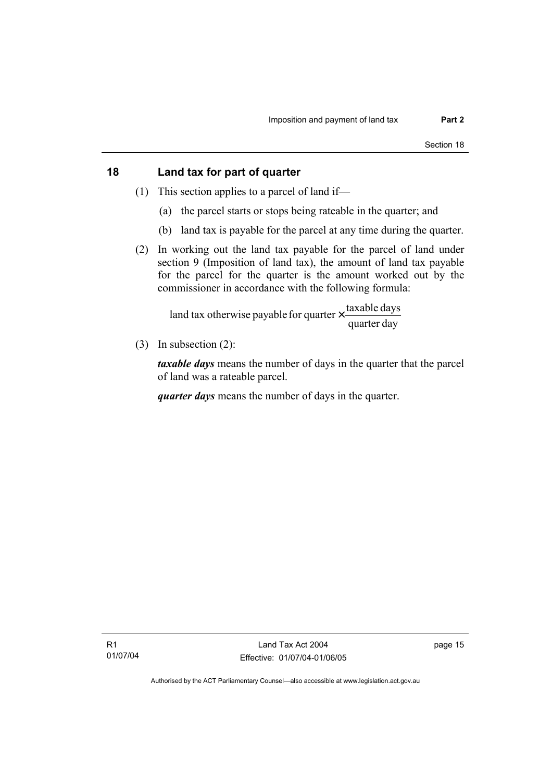### **18 Land tax for part of quarter**

- (1) This section applies to a parcel of land if—
	- (a) the parcel starts or stops being rateable in the quarter; and
	- (b) land tax is payable for the parcel at any time during the quarter.
- (2) In working out the land tax payable for the parcel of land under section 9 (Imposition of land tax), the amount of land tax payable for the parcel for the quarter is the amount worked out by the commissioner in accordance with the following formula:

quarter day land tax otherwise payable for quarter  $\times$   $\frac{\text{taxable days}}{\text{days}}$ 

(3) In subsection (2):

*taxable days* means the number of days in the quarter that the parcel of land was a rateable parcel.

*quarter days* means the number of days in the quarter.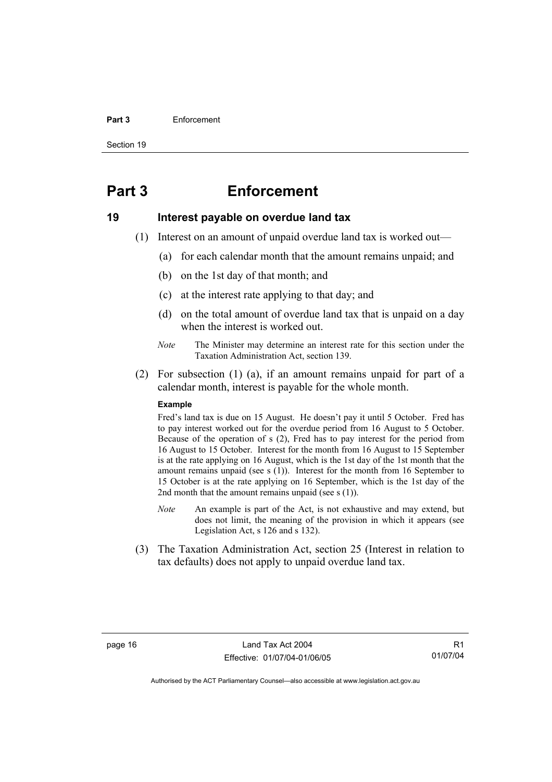#### **Part 3** Enforcement

Section 19

## **Part 3 Enforcement**

#### **19 Interest payable on overdue land tax**

- (1) Interest on an amount of unpaid overdue land tax is worked out—
	- (a) for each calendar month that the amount remains unpaid; and
	- (b) on the 1st day of that month; and
	- (c) at the interest rate applying to that day; and
	- (d) on the total amount of overdue land tax that is unpaid on a day when the interest is worked out.
	- *Note* The Minister may determine an interest rate for this section under the Taxation Administration Act, section 139.
- (2) For subsection (1) (a), if an amount remains unpaid for part of a calendar month, interest is payable for the whole month.

#### **Example**

Fred's land tax is due on 15 August. He doesn't pay it until 5 October. Fred has to pay interest worked out for the overdue period from 16 August to 5 October. Because of the operation of s (2), Fred has to pay interest for the period from 16 August to 15 October. Interest for the month from 16 August to 15 September is at the rate applying on 16 August, which is the 1st day of the 1st month that the amount remains unpaid (see s (1)). Interest for the month from 16 September to 15 October is at the rate applying on 16 September, which is the 1st day of the 2nd month that the amount remains unpaid (see  $s(1)$ ).

- *Note* An example is part of the Act, is not exhaustive and may extend, but does not limit, the meaning of the provision in which it appears (see Legislation Act, s 126 and s 132).
- (3) The Taxation Administration Act, section 25 (Interest in relation to tax defaults) does not apply to unpaid overdue land tax.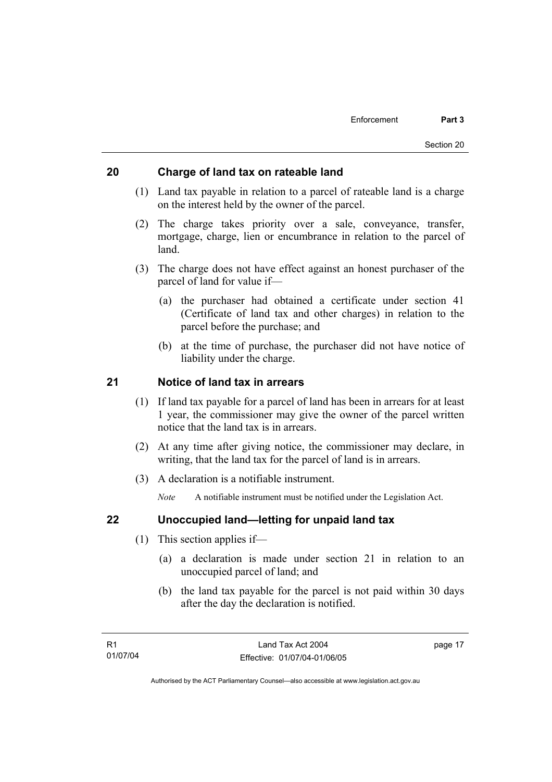### **20 Charge of land tax on rateable land**

- (1) Land tax payable in relation to a parcel of rateable land is a charge on the interest held by the owner of the parcel.
- (2) The charge takes priority over a sale, conveyance, transfer, mortgage, charge, lien or encumbrance in relation to the parcel of land.
- (3) The charge does not have effect against an honest purchaser of the parcel of land for value if—
	- (a) the purchaser had obtained a certificate under section 41 (Certificate of land tax and other charges) in relation to the parcel before the purchase; and
	- (b) at the time of purchase, the purchaser did not have notice of liability under the charge.

### **21 Notice of land tax in arrears**

- (1) If land tax payable for a parcel of land has been in arrears for at least 1 year, the commissioner may give the owner of the parcel written notice that the land tax is in arrears.
- (2) At any time after giving notice, the commissioner may declare, in writing, that the land tax for the parcel of land is in arrears.
- (3) A declaration is a notifiable instrument.

*Note* A notifiable instrument must be notified under the Legislation Act.

#### **22 Unoccupied land—letting for unpaid land tax**

- (1) This section applies if—
	- (a) a declaration is made under section 21 in relation to an unoccupied parcel of land; and
	- (b) the land tax payable for the parcel is not paid within 30 days after the day the declaration is notified.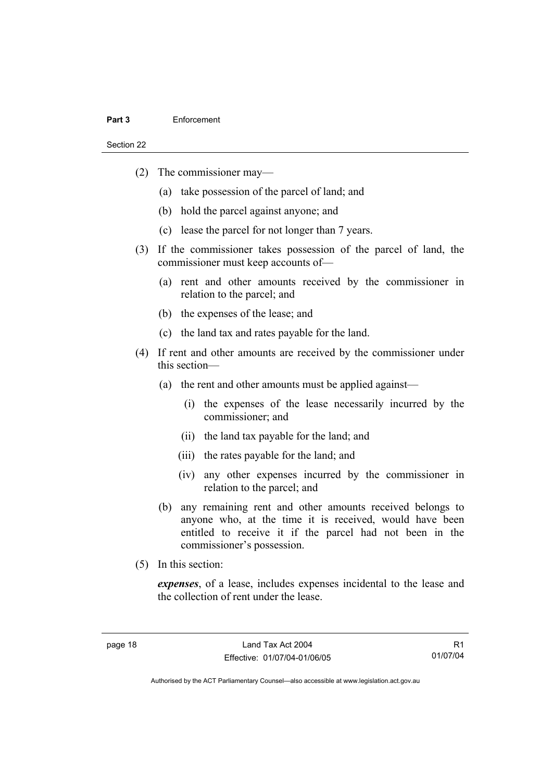#### **Part 3** Enforcement

Section 22

- (2) The commissioner may—
	- (a) take possession of the parcel of land; and
	- (b) hold the parcel against anyone; and
	- (c) lease the parcel for not longer than 7 years.
- (3) If the commissioner takes possession of the parcel of land, the commissioner must keep accounts of—
	- (a) rent and other amounts received by the commissioner in relation to the parcel; and
	- (b) the expenses of the lease; and
	- (c) the land tax and rates payable for the land.
- (4) If rent and other amounts are received by the commissioner under this section—
	- (a) the rent and other amounts must be applied against—
		- (i) the expenses of the lease necessarily incurred by the commissioner; and
		- (ii) the land tax payable for the land; and
		- (iii) the rates payable for the land; and
		- (iv) any other expenses incurred by the commissioner in relation to the parcel; and
	- (b) any remaining rent and other amounts received belongs to anyone who, at the time it is received, would have been entitled to receive it if the parcel had not been in the commissioner's possession.
- (5) In this section:

*expenses*, of a lease, includes expenses incidental to the lease and the collection of rent under the lease.

R1 01/07/04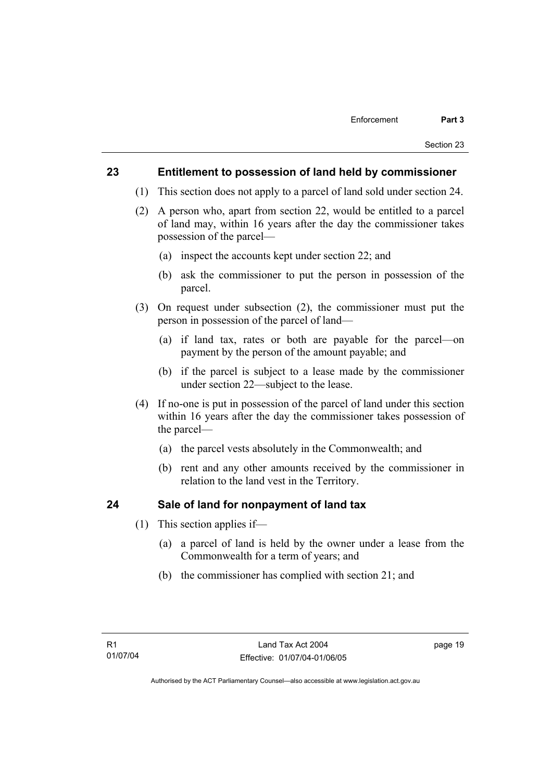#### **23 Entitlement to possession of land held by commissioner**

- (1) This section does not apply to a parcel of land sold under section 24.
- (2) A person who, apart from section 22, would be entitled to a parcel of land may, within 16 years after the day the commissioner takes possession of the parcel—
	- (a) inspect the accounts kept under section 22; and
	- (b) ask the commissioner to put the person in possession of the parcel.
- (3) On request under subsection (2), the commissioner must put the person in possession of the parcel of land—
	- (a) if land tax, rates or both are payable for the parcel—on payment by the person of the amount payable; and
	- (b) if the parcel is subject to a lease made by the commissioner under section 22—subject to the lease.
- (4) If no-one is put in possession of the parcel of land under this section within 16 years after the day the commissioner takes possession of the parcel—
	- (a) the parcel vests absolutely in the Commonwealth; and
	- (b) rent and any other amounts received by the commissioner in relation to the land vest in the Territory.

#### **24 Sale of land for nonpayment of land tax**

- (1) This section applies if—
	- (a) a parcel of land is held by the owner under a lease from the Commonwealth for a term of years; and
	- (b) the commissioner has complied with section 21; and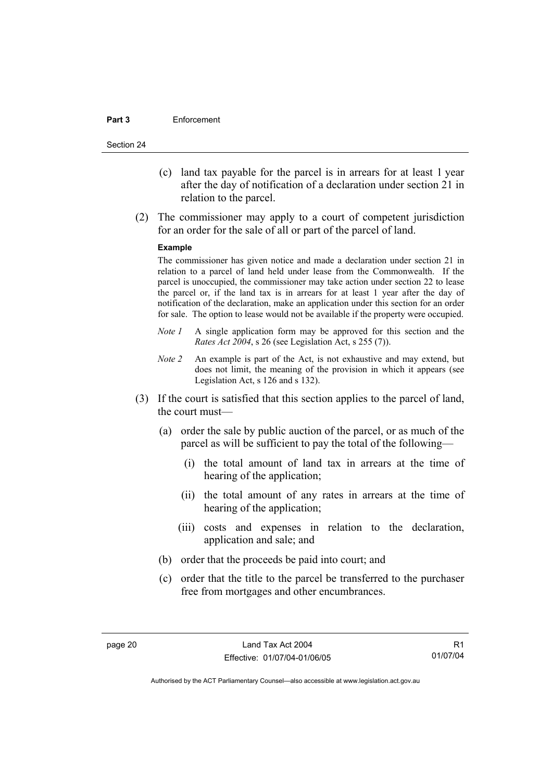#### **Part 3** Enforcement

Section 24

- (c) land tax payable for the parcel is in arrears for at least 1 year after the day of notification of a declaration under section 21 in relation to the parcel.
- (2) The commissioner may apply to a court of competent jurisdiction for an order for the sale of all or part of the parcel of land.

#### **Example**

The commissioner has given notice and made a declaration under section 21 in relation to a parcel of land held under lease from the Commonwealth. If the parcel is unoccupied, the commissioner may take action under section 22 to lease the parcel or, if the land tax is in arrears for at least 1 year after the day of notification of the declaration, make an application under this section for an order for sale. The option to lease would not be available if the property were occupied.

- *Note 1* A single application form may be approved for this section and the *Rates Act 2004*, s 26 (see Legislation Act, s 255 (7)).
- *Note 2* An example is part of the Act, is not exhaustive and may extend, but does not limit, the meaning of the provision in which it appears (see Legislation Act, s 126 and s 132).
- (3) If the court is satisfied that this section applies to the parcel of land, the court must—
	- (a) order the sale by public auction of the parcel, or as much of the parcel as will be sufficient to pay the total of the following—
		- (i) the total amount of land tax in arrears at the time of hearing of the application;
		- (ii) the total amount of any rates in arrears at the time of hearing of the application;
		- (iii) costs and expenses in relation to the declaration, application and sale; and
	- (b) order that the proceeds be paid into court; and
	- (c) order that the title to the parcel be transferred to the purchaser free from mortgages and other encumbrances.

R1 01/07/04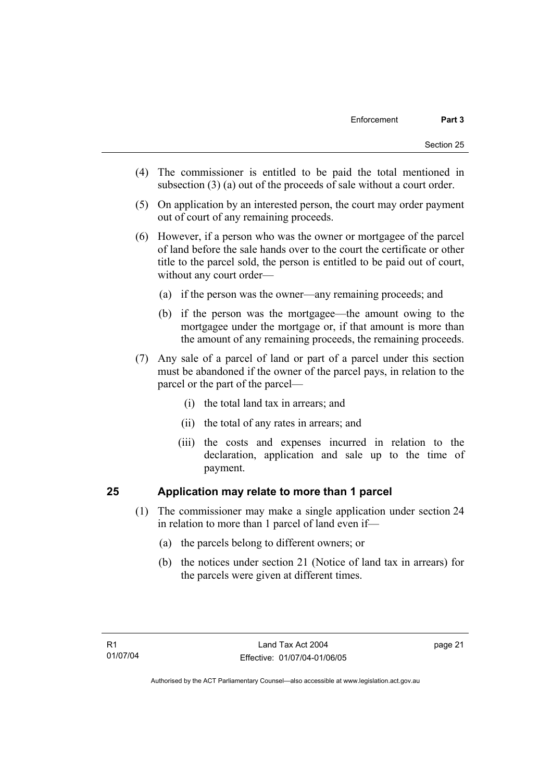- (4) The commissioner is entitled to be paid the total mentioned in subsection (3) (a) out of the proceeds of sale without a court order.
- (5) On application by an interested person, the court may order payment out of court of any remaining proceeds.
- (6) However, if a person who was the owner or mortgagee of the parcel of land before the sale hands over to the court the certificate or other title to the parcel sold, the person is entitled to be paid out of court, without any court order—
	- (a) if the person was the owner—any remaining proceeds; and
	- (b) if the person was the mortgagee—the amount owing to the mortgagee under the mortgage or, if that amount is more than the amount of any remaining proceeds, the remaining proceeds.
- (7) Any sale of a parcel of land or part of a parcel under this section must be abandoned if the owner of the parcel pays, in relation to the parcel or the part of the parcel—
	- (i) the total land tax in arrears; and
	- (ii) the total of any rates in arrears; and
	- (iii) the costs and expenses incurred in relation to the declaration, application and sale up to the time of payment.

### **25 Application may relate to more than 1 parcel**

- (1) The commissioner may make a single application under section 24 in relation to more than 1 parcel of land even if—
	- (a) the parcels belong to different owners; or
	- (b) the notices under section 21 (Notice of land tax in arrears) for the parcels were given at different times.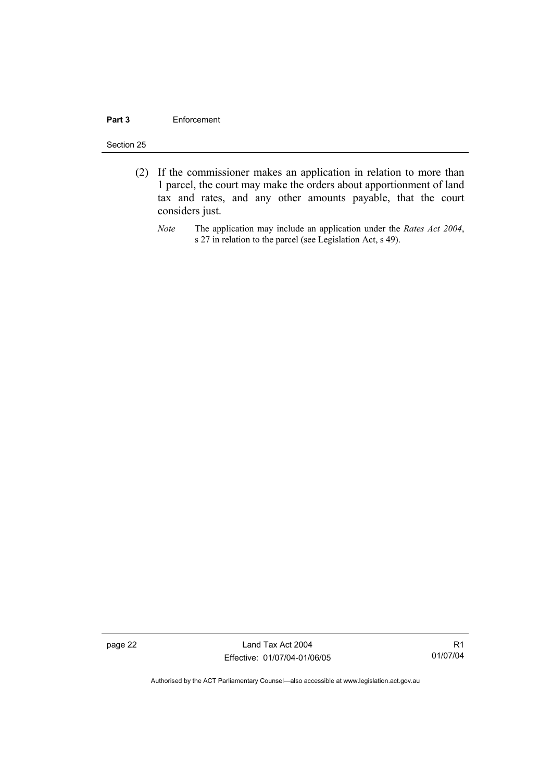#### **Part 3** Enforcement

#### Section 25

- (2) If the commissioner makes an application in relation to more than 1 parcel, the court may make the orders about apportionment of land tax and rates, and any other amounts payable, that the court considers just.
	- *Note* The application may include an application under the *Rates Act 2004*, s 27 in relation to the parcel (see Legislation Act, s 49).

page 22 Land Tax Act 2004 Effective: 01/07/04-01/06/05

R1 01/07/04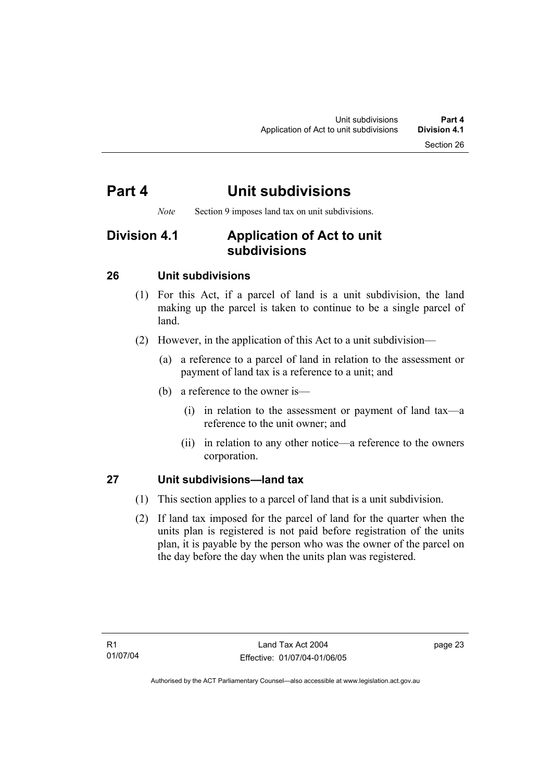# **Part 4 Unit subdivisions**

*Note* Section 9 imposes land tax on unit subdivisions.

## **Division 4.1 Application of Act to unit subdivisions**

### **26 Unit subdivisions**

- (1) For this Act, if a parcel of land is a unit subdivision, the land making up the parcel is taken to continue to be a single parcel of land.
- (2) However, in the application of this Act to a unit subdivision—
	- (a) a reference to a parcel of land in relation to the assessment or payment of land tax is a reference to a unit; and
	- (b) a reference to the owner is—
		- (i) in relation to the assessment or payment of land tax—a reference to the unit owner; and
		- (ii) in relation to any other notice—a reference to the owners corporation.

### **27 Unit subdivisions—land tax**

- (1) This section applies to a parcel of land that is a unit subdivision.
- (2) If land tax imposed for the parcel of land for the quarter when the units plan is registered is not paid before registration of the units plan, it is payable by the person who was the owner of the parcel on the day before the day when the units plan was registered.

page 23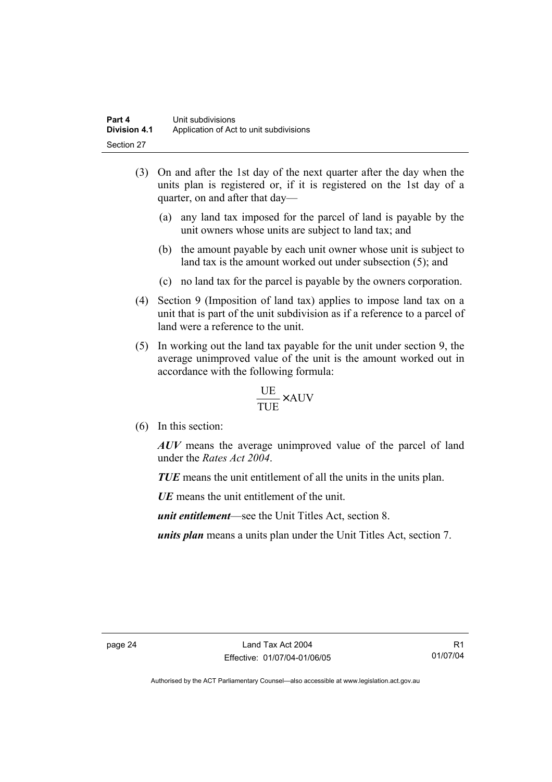- (3) On and after the 1st day of the next quarter after the day when the units plan is registered or, if it is registered on the 1st day of a quarter, on and after that day—
	- (a) any land tax imposed for the parcel of land is payable by the unit owners whose units are subject to land tax; and
	- (b) the amount payable by each unit owner whose unit is subject to land tax is the amount worked out under subsection (5); and
	- (c) no land tax for the parcel is payable by the owners corporation.
- (4) Section 9 (Imposition of land tax) applies to impose land tax on a unit that is part of the unit subdivision as if a reference to a parcel of land were a reference to the unit.
- (5) In working out the land tax payable for the unit under section 9, the average unimproved value of the unit is the amount worked out in accordance with the following formula:

$$
\frac{\text{UE}}{\text{TUE}} \times \text{AUV}
$$

(6) In this section:

*AUV* means the average unimproved value of the parcel of land under the *Rates Act 2004*.

*TUE* means the unit entitlement of all the units in the units plan.

*UE*means the unit entitlement of the unit.

*unit entitlement*—see the Unit Titles Act, section 8.

*units plan* means a units plan under the Unit Titles Act, section 7.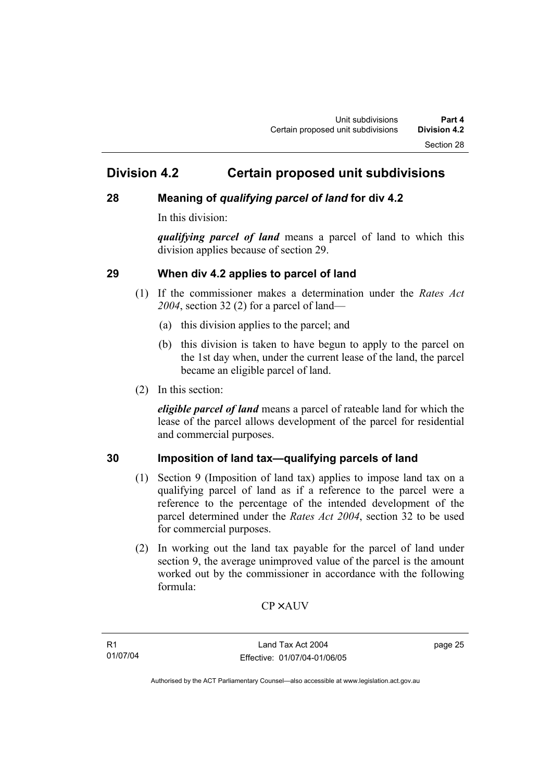### **Division 4.2 Certain proposed unit subdivisions**

### **28 Meaning of** *qualifying parcel of land* **for div 4.2**

In this division:

*qualifying parcel of land* means a parcel of land to which this division applies because of section 29.

### **29 When div 4.2 applies to parcel of land**

- (1) If the commissioner makes a determination under the *Rates Act 2004*, section 32 (2) for a parcel of land—
	- (a) this division applies to the parcel; and
	- (b) this division is taken to have begun to apply to the parcel on the 1st day when, under the current lease of the land, the parcel became an eligible parcel of land.
- (2) In this section:

*eligible parcel of land* means a parcel of rateable land for which the lease of the parcel allows development of the parcel for residential and commercial purposes.

### **30 Imposition of land tax—qualifying parcels of land**

- (1) Section 9 (Imposition of land tax) applies to impose land tax on a qualifying parcel of land as if a reference to the parcel were a reference to the percentage of the intended development of the parcel determined under the *Rates Act 2004*, section 32 to be used for commercial purposes.
- (2) In working out the land tax payable for the parcel of land under section 9, the average unimproved value of the parcel is the amount worked out by the commissioner in accordance with the following formula:

 $CP \times AUV$ 

page 25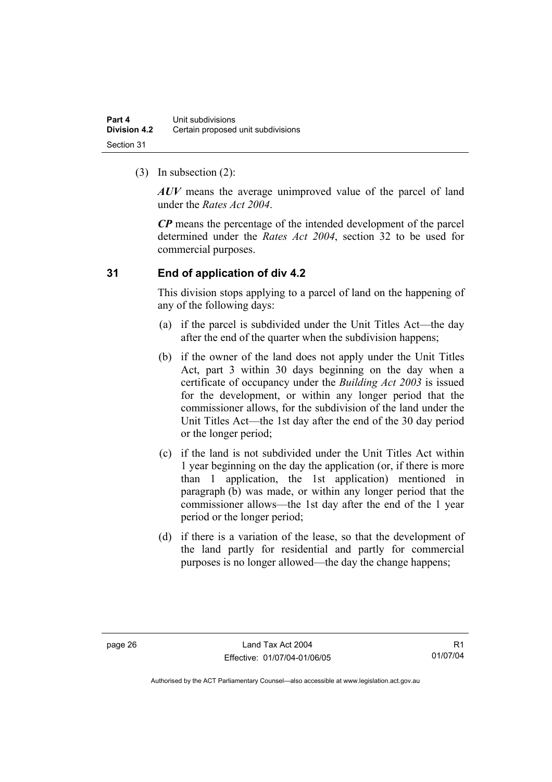(3) In subsection (2):

*AUV* means the average unimproved value of the parcel of land under the *Rates Act 2004*.

*CP* means the percentage of the intended development of the parcel determined under the *Rates Act 2004*, section 32 to be used for commercial purposes.

### **31 End of application of div 4.2**

This division stops applying to a parcel of land on the happening of any of the following days:

- (a) if the parcel is subdivided under the Unit Titles Act—the day after the end of the quarter when the subdivision happens;
- (b) if the owner of the land does not apply under the Unit Titles Act, part 3 within 30 days beginning on the day when a certificate of occupancy under the *Building Act 2003* is issued for the development, or within any longer period that the commissioner allows, for the subdivision of the land under the Unit Titles Act—the 1st day after the end of the 30 day period or the longer period;
- (c) if the land is not subdivided under the Unit Titles Act within 1 year beginning on the day the application (or, if there is more than 1 application, the 1st application) mentioned in paragraph (b) was made, or within any longer period that the commissioner allows—the 1st day after the end of the 1 year period or the longer period;
- (d) if there is a variation of the lease, so that the development of the land partly for residential and partly for commercial purposes is no longer allowed—the day the change happens;

R1 01/07/04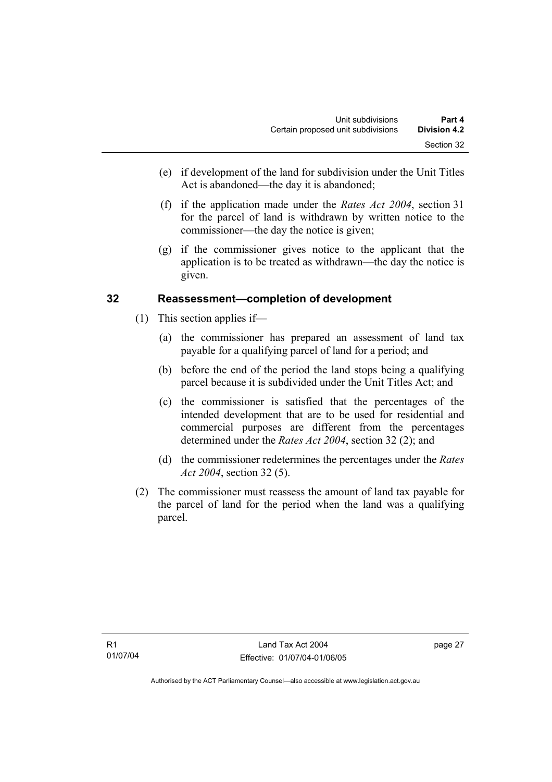- (e) if development of the land for subdivision under the Unit Titles Act is abandoned—the day it is abandoned;
- (f) if the application made under the *Rates Act 2004*, section 31 for the parcel of land is withdrawn by written notice to the commissioner—the day the notice is given;
- (g) if the commissioner gives notice to the applicant that the application is to be treated as withdrawn—the day the notice is given.

### **32 Reassessment—completion of development**

- (1) This section applies if—
	- (a) the commissioner has prepared an assessment of land tax payable for a qualifying parcel of land for a period; and
	- (b) before the end of the period the land stops being a qualifying parcel because it is subdivided under the Unit Titles Act; and
	- (c) the commissioner is satisfied that the percentages of the intended development that are to be used for residential and commercial purposes are different from the percentages determined under the *Rates Act 2004*, section 32 (2); and
	- (d) the commissioner redetermines the percentages under the *Rates Act 2004*, section 32 (5).
- (2) The commissioner must reassess the amount of land tax payable for the parcel of land for the period when the land was a qualifying parcel.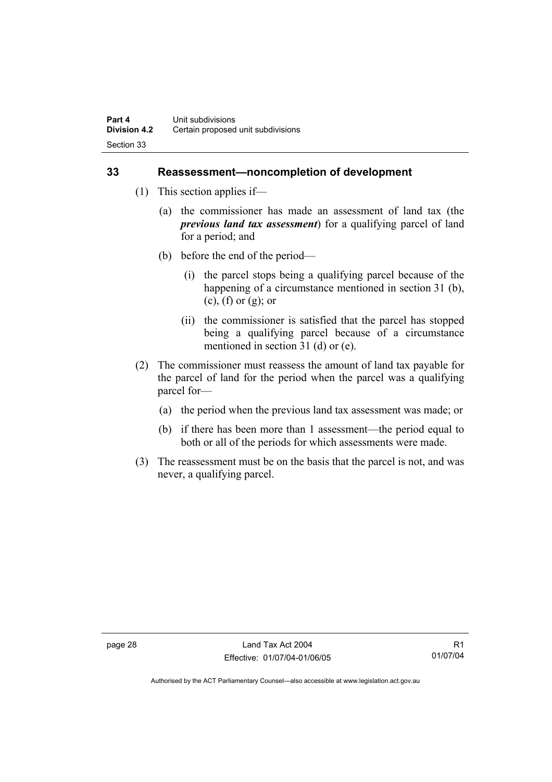#### **33 Reassessment—noncompletion of development**

- (1) This section applies if—
	- (a) the commissioner has made an assessment of land tax (the *previous land tax assessment*) for a qualifying parcel of land for a period; and
	- (b) before the end of the period—
		- (i) the parcel stops being a qualifying parcel because of the happening of a circumstance mentioned in section 31 (b), (c), (f) or (g); or
		- (ii) the commissioner is satisfied that the parcel has stopped being a qualifying parcel because of a circumstance mentioned in section 31 (d) or (e).
- (2) The commissioner must reassess the amount of land tax payable for the parcel of land for the period when the parcel was a qualifying parcel for—
	- (a) the period when the previous land tax assessment was made; or
	- (b) if there has been more than 1 assessment—the period equal to both or all of the periods for which assessments were made.
- (3) The reassessment must be on the basis that the parcel is not, and was never, a qualifying parcel.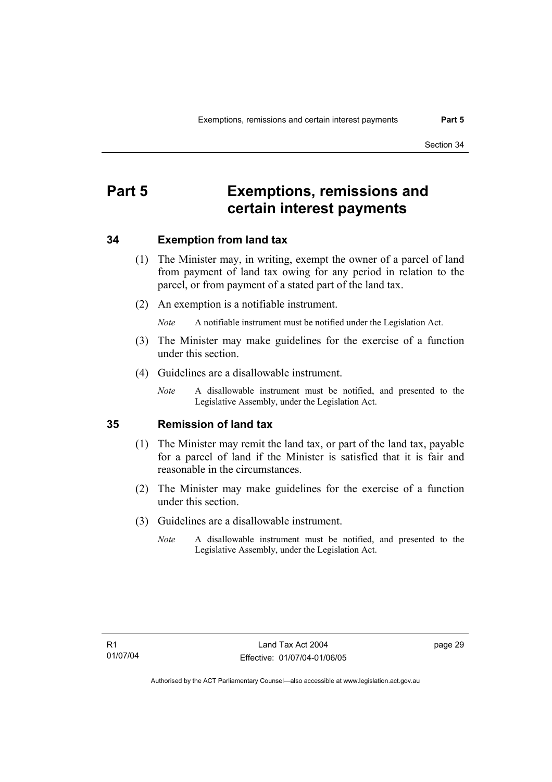# **Part 5 Exemptions, remissions and certain interest payments**

#### **34 Exemption from land tax**

- (1) The Minister may, in writing, exempt the owner of a parcel of land from payment of land tax owing for any period in relation to the parcel, or from payment of a stated part of the land tax.
- (2) An exemption is a notifiable instrument.

*Note* A notifiable instrument must be notified under the Legislation Act.

- (3) The Minister may make guidelines for the exercise of a function under this section.
- (4) Guidelines are a disallowable instrument.
	- *Note* A disallowable instrument must be notified, and presented to the Legislative Assembly, under the Legislation Act.

#### **35 Remission of land tax**

- (1) The Minister may remit the land tax, or part of the land tax, payable for a parcel of land if the Minister is satisfied that it is fair and reasonable in the circumstances.
- (2) The Minister may make guidelines for the exercise of a function under this section.
- (3) Guidelines are a disallowable instrument.
	- *Note* A disallowable instrument must be notified, and presented to the Legislative Assembly, under the Legislation Act.

page 29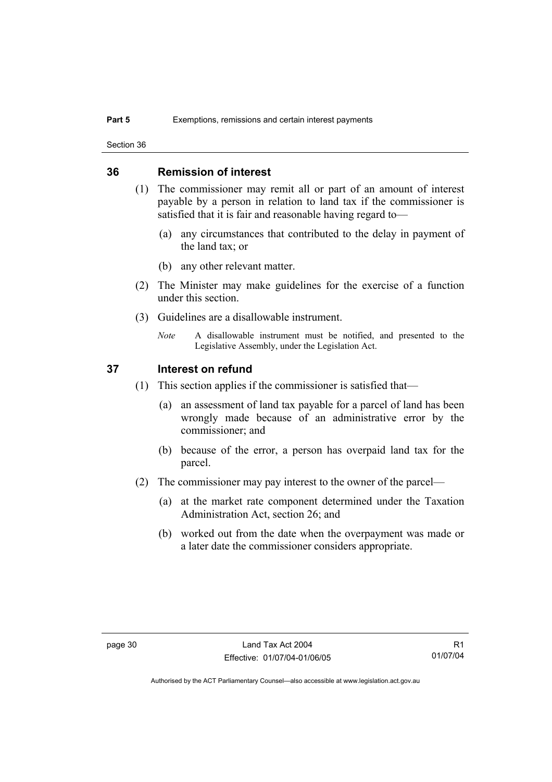Section 36

#### **36 Remission of interest**

- (1) The commissioner may remit all or part of an amount of interest payable by a person in relation to land tax if the commissioner is satisfied that it is fair and reasonable having regard to—
	- (a) any circumstances that contributed to the delay in payment of the land tax; or
	- (b) any other relevant matter.
- (2) The Minister may make guidelines for the exercise of a function under this section.
- (3) Guidelines are a disallowable instrument.
	- *Note* A disallowable instrument must be notified, and presented to the Legislative Assembly, under the Legislation Act.

#### **37 Interest on refund**

- (1) This section applies if the commissioner is satisfied that—
	- (a) an assessment of land tax payable for a parcel of land has been wrongly made because of an administrative error by the commissioner; and
	- (b) because of the error, a person has overpaid land tax for the parcel.
- (2) The commissioner may pay interest to the owner of the parcel—
	- (a) at the market rate component determined under the Taxation Administration Act, section 26; and
	- (b) worked out from the date when the overpayment was made or a later date the commissioner considers appropriate.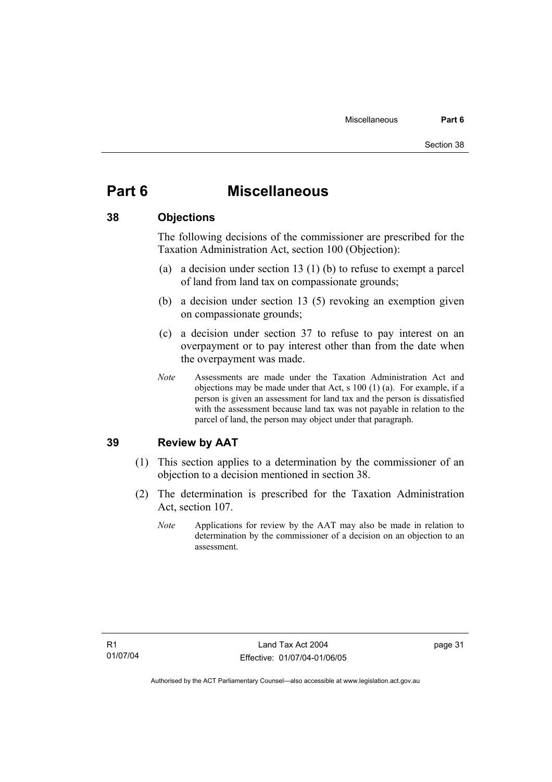# **Part 6 Miscellaneous**

#### **38 Objections**

The following decisions of the commissioner are prescribed for the Taxation Administration Act, section 100 (Objection):

- (a) a decision under section 13 (1) (b) to refuse to exempt a parcel of land from land tax on compassionate grounds;
- (b) a decision under section 13 (5) revoking an exemption given on compassionate grounds;
- (c) a decision under section 37 to refuse to pay interest on an overpayment or to pay interest other than from the date when the overpayment was made.
- *Note* Assessments are made under the Taxation Administration Act and objections may be made under that Act, s 100 (1) (a). For example, if a person is given an assessment for land tax and the person is dissatisfied with the assessment because land tax was not payable in relation to the parcel of land, the person may object under that paragraph.

### **39 Review by AAT**

- (1) This section applies to a determination by the commissioner of an objection to a decision mentioned in section 38.
- (2) The determination is prescribed for the Taxation Administration Act, section 107.
	- *Note* Applications for review by the AAT may also be made in relation to determination by the commissioner of a decision on an objection to an assessment.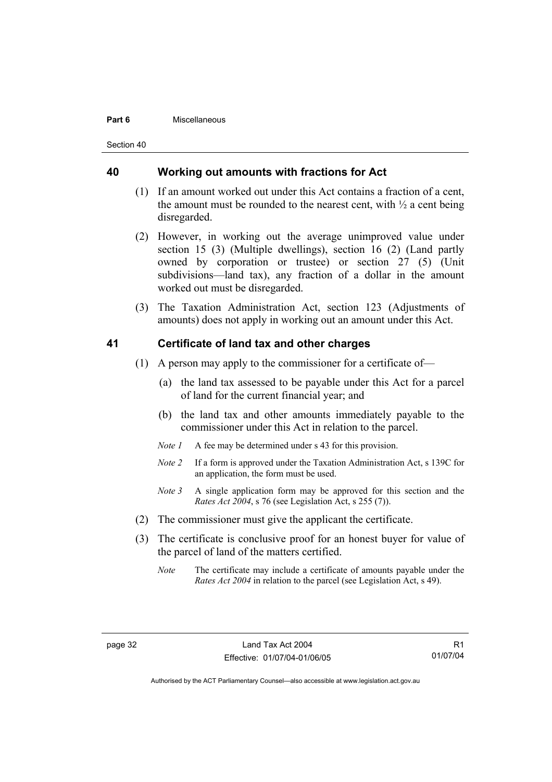#### **Part 6** Miscellaneous

Section 40

#### **40 Working out amounts with fractions for Act**

- (1) If an amount worked out under this Act contains a fraction of a cent, the amount must be rounded to the nearest cent, with  $\frac{1}{2}$  a cent being disregarded.
- (2) However, in working out the average unimproved value under section 15 (3) (Multiple dwellings), section 16 (2) (Land partly owned by corporation or trustee) or section 27 (5) (Unit subdivisions—land tax), any fraction of a dollar in the amount worked out must be disregarded.
- (3) The Taxation Administration Act, section 123 (Adjustments of amounts) does not apply in working out an amount under this Act.

#### **41 Certificate of land tax and other charges**

- (1) A person may apply to the commissioner for a certificate of—
	- (a) the land tax assessed to be payable under this Act for a parcel of land for the current financial year; and
	- (b) the land tax and other amounts immediately payable to the commissioner under this Act in relation to the parcel.
	- *Note 1* A fee may be determined under s 43 for this provision.
	- *Note 2* If a form is approved under the Taxation Administration Act, s 139C for an application, the form must be used.
	- *Note 3* A single application form may be approved for this section and the *Rates Act 2004*, s 76 (see Legislation Act, s 255 (7)).
- (2) The commissioner must give the applicant the certificate.
- (3) The certificate is conclusive proof for an honest buyer for value of the parcel of land of the matters certified.
	- *Note* The certificate may include a certificate of amounts payable under the *Rates Act 2004* in relation to the parcel (see Legislation Act, s 49).

R1 01/07/04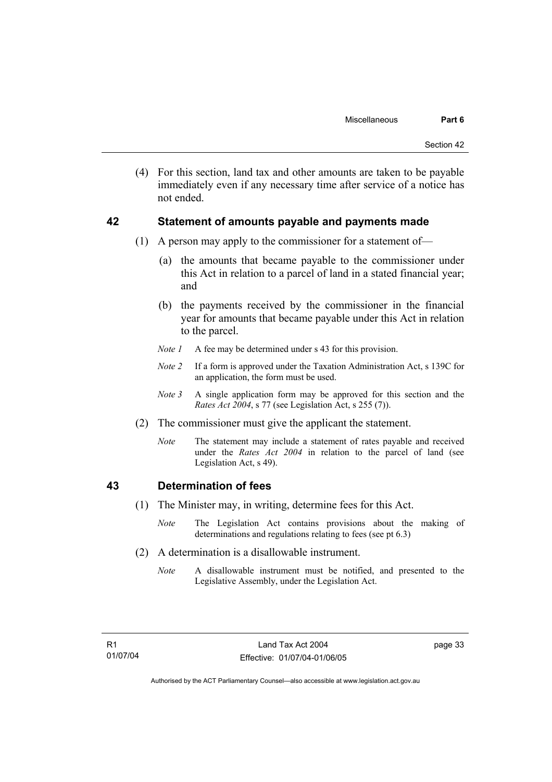(4) For this section, land tax and other amounts are taken to be payable immediately even if any necessary time after service of a notice has not ended.

#### **42 Statement of amounts payable and payments made**

- (1) A person may apply to the commissioner for a statement of—
	- (a) the amounts that became payable to the commissioner under this Act in relation to a parcel of land in a stated financial year; and
	- (b) the payments received by the commissioner in the financial year for amounts that became payable under this Act in relation to the parcel.
	- *Note 1* A fee may be determined under s 43 for this provision.
	- *Note 2* If a form is approved under the Taxation Administration Act, s 139C for an application, the form must be used.
	- *Note 3* A single application form may be approved for this section and the *Rates Act 2004*, s 77 (see Legislation Act, s 255 (7)).
- (2) The commissioner must give the applicant the statement.
	- *Note* The statement may include a statement of rates payable and received under the *Rates Act 2004* in relation to the parcel of land (see Legislation Act, s 49).

#### **43 Determination of fees**

- (1) The Minister may, in writing, determine fees for this Act.
	- *Note* The Legislation Act contains provisions about the making of determinations and regulations relating to fees (see pt 6.3)
- (2) A determination is a disallowable instrument.
	- *Note* A disallowable instrument must be notified, and presented to the Legislative Assembly, under the Legislation Act.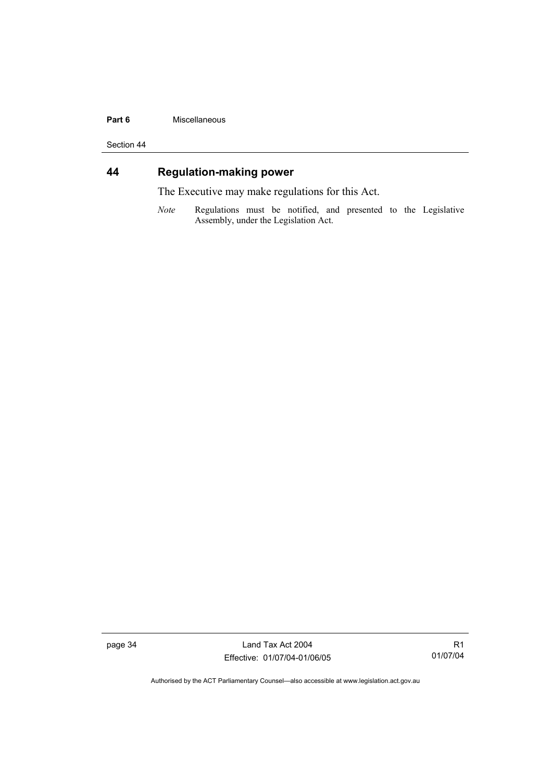#### **Part 6** Miscellaneous

Section 44

# **44 Regulation-making power**

The Executive may make regulations for this Act.

*Note* Regulations must be notified, and presented to the Legislative Assembly, under the Legislation Act.

page 34 Land Tax Act 2004 Effective: 01/07/04-01/06/05

R1 01/07/04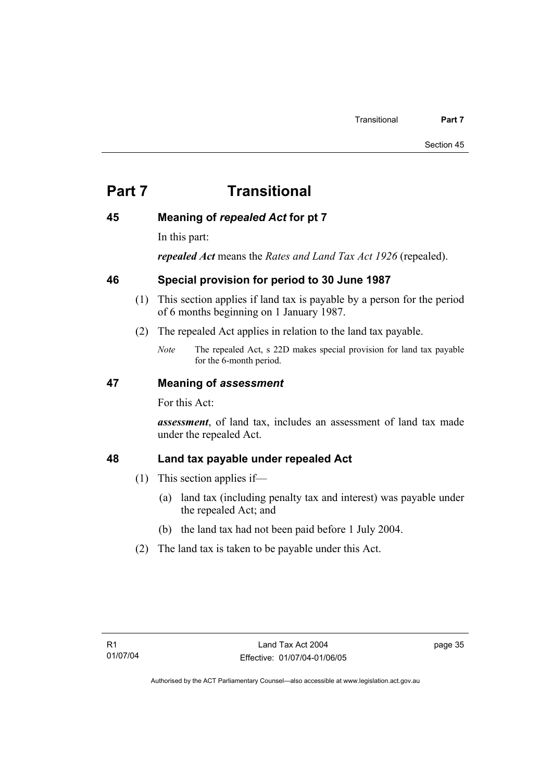# **Part 7 Transitional**

### **45 Meaning of** *repealed Act* **for pt 7**

In this part:

*repealed Act* means the *Rates and Land Tax Act 1926* (repealed).

### **46 Special provision for period to 30 June 1987**

- (1) This section applies if land tax is payable by a person for the period of 6 months beginning on 1 January 1987.
- (2) The repealed Act applies in relation to the land tax payable.
	- *Note* The repealed Act, s 22D makes special provision for land tax payable for the 6-month period.

### **47 Meaning of** *assessment*

For this Act:

*assessment*, of land tax, includes an assessment of land tax made under the repealed Act.

### **48 Land tax payable under repealed Act**

- (1) This section applies if—
	- (a) land tax (including penalty tax and interest) was payable under the repealed Act; and
	- (b) the land tax had not been paid before 1 July 2004.
- (2) The land tax is taken to be payable under this Act.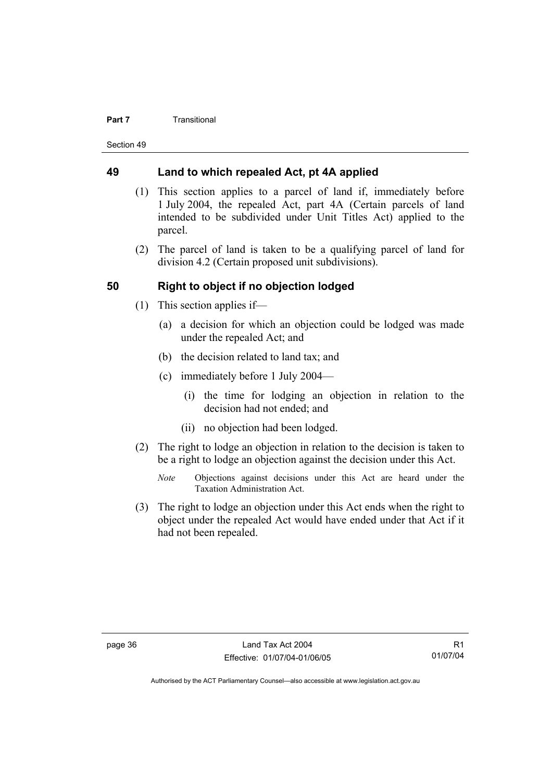#### **Part 7 Transitional**

Section 49

#### **49 Land to which repealed Act, pt 4A applied**

- (1) This section applies to a parcel of land if, immediately before 1 July 2004, the repealed Act, part 4A (Certain parcels of land intended to be subdivided under Unit Titles Act) applied to the parcel.
- (2) The parcel of land is taken to be a qualifying parcel of land for division 4.2 (Certain proposed unit subdivisions).

#### **50 Right to object if no objection lodged**

- (1) This section applies if—
	- (a) a decision for which an objection could be lodged was made under the repealed Act; and
	- (b) the decision related to land tax; and
	- (c) immediately before 1 July 2004—
		- (i) the time for lodging an objection in relation to the decision had not ended; and
		- (ii) no objection had been lodged.
- (2) The right to lodge an objection in relation to the decision is taken to be a right to lodge an objection against the decision under this Act.
	- *Note* Objections against decisions under this Act are heard under the Taxation Administration Act.
- (3) The right to lodge an objection under this Act ends when the right to object under the repealed Act would have ended under that Act if it had not been repealed.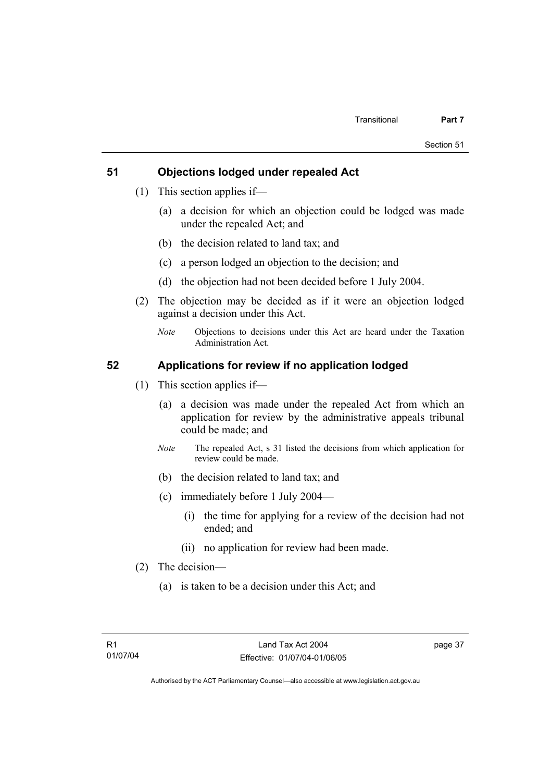#### **51 Objections lodged under repealed Act**

- (1) This section applies if—
	- (a) a decision for which an objection could be lodged was made under the repealed Act; and
	- (b) the decision related to land tax; and
	- (c) a person lodged an objection to the decision; and
	- (d) the objection had not been decided before 1 July 2004.
- (2) The objection may be decided as if it were an objection lodged against a decision under this Act.
	- *Note* Objections to decisions under this Act are heard under the Taxation Administration Act.

#### **52 Applications for review if no application lodged**

- (1) This section applies if—
	- (a) a decision was made under the repealed Act from which an application for review by the administrative appeals tribunal could be made; and
	- *Note* The repealed Act, s 31 listed the decisions from which application for review could be made.
	- (b) the decision related to land tax; and
	- (c) immediately before 1 July 2004—
		- (i) the time for applying for a review of the decision had not ended; and
		- (ii) no application for review had been made.
- (2) The decision—
	- (a) is taken to be a decision under this Act; and

page 37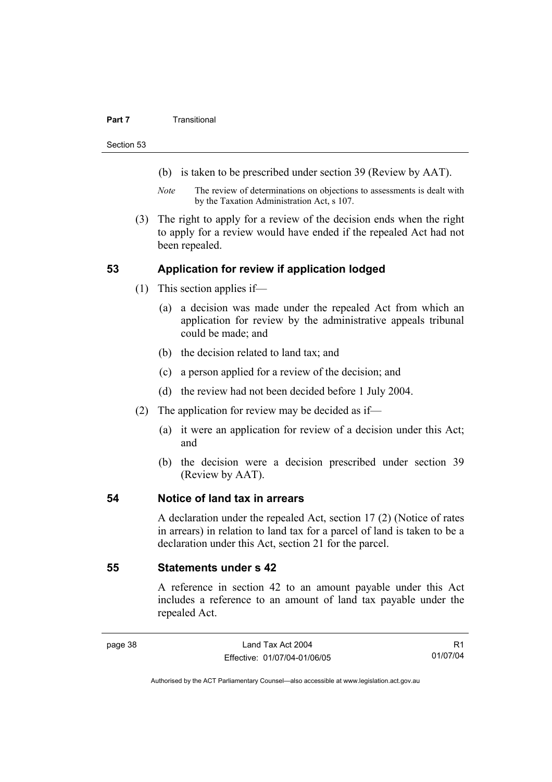#### **Part 7 Transitional**

Section 53

- (b) is taken to be prescribed under section 39 (Review by AAT).
- *Note* The review of determinations on objections to assessments is dealt with by the Taxation Administration Act, s 107.
- (3) The right to apply for a review of the decision ends when the right to apply for a review would have ended if the repealed Act had not been repealed.

#### **53 Application for review if application lodged**

- (1) This section applies if—
	- (a) a decision was made under the repealed Act from which an application for review by the administrative appeals tribunal could be made; and
	- (b) the decision related to land tax; and
	- (c) a person applied for a review of the decision; and
	- (d) the review had not been decided before 1 July 2004.
- (2) The application for review may be decided as if—
	- (a) it were an application for review of a decision under this Act; and
	- (b) the decision were a decision prescribed under section 39 (Review by AAT).

#### **54 Notice of land tax in arrears**

A declaration under the repealed Act, section 17 (2) (Notice of rates in arrears) in relation to land tax for a parcel of land is taken to be a declaration under this Act, section 21 for the parcel.

#### **55 Statements under s 42**

A reference in section 42 to an amount payable under this Act includes a reference to an amount of land tax payable under the repealed Act.

R1 01/07/04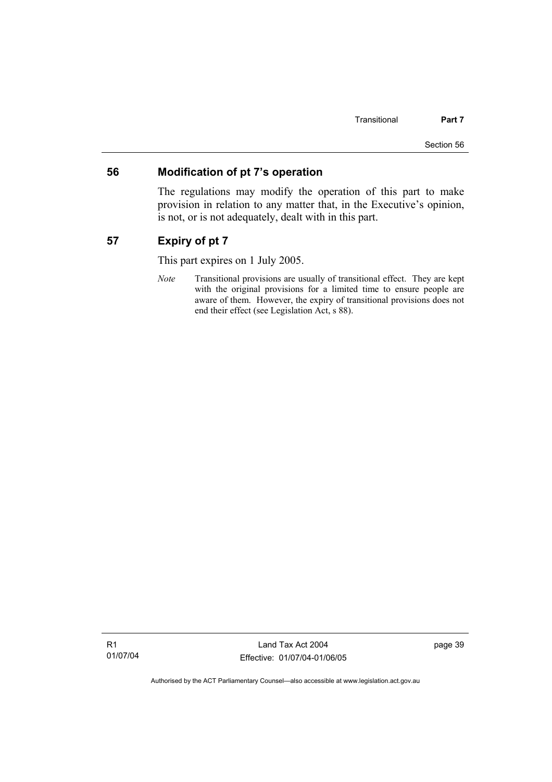#### **56 Modification of pt 7's operation**

The regulations may modify the operation of this part to make provision in relation to any matter that, in the Executive's opinion, is not, or is not adequately, dealt with in this part.

### **57 Expiry of pt 7**

This part expires on 1 July 2005.

*Note* Transitional provisions are usually of transitional effect. They are kept with the original provisions for a limited time to ensure people are aware of them. However, the expiry of transitional provisions does not end their effect (see Legislation Act, s 88).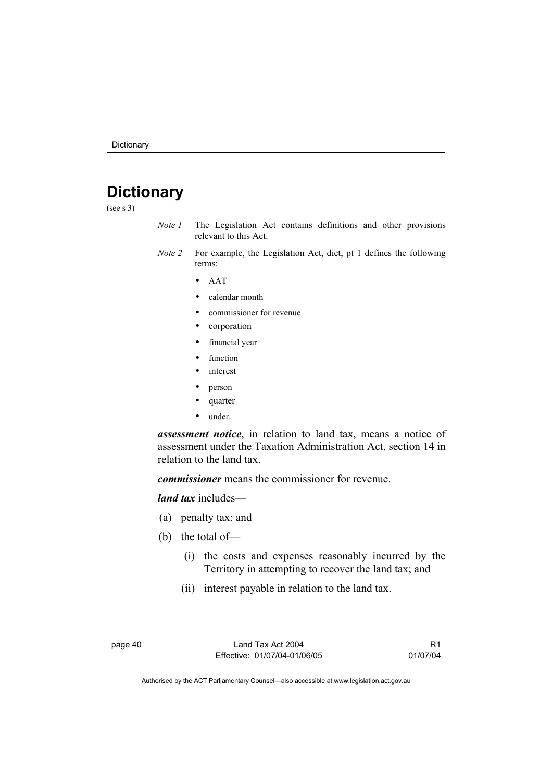# **Dictionary**

(see s 3)

- *Note 1* The Legislation Act contains definitions and other provisions relevant to this Act.
- *Note 2* For example, the Legislation Act, dict, pt 1 defines the following terms:
	- AAT
	- calendar month
	- commissioner for revenue
	- corporation
	- financial year
	- function
	- *interest*
	- person
	- quarter
	- under.

*assessment notice*, in relation to land tax, means a notice of assessment under the Taxation Administration Act, section 14 in relation to the land tax.

*commissioner* means the commissioner for revenue.

*land tax* includes—

- (a) penalty tax; and
- (b) the total of—
	- (i) the costs and expenses reasonably incurred by the Territory in attempting to recover the land tax; and
	- (ii) interest payable in relation to the land tax.

page 40 Land Tax Act 2004 Effective: 01/07/04-01/06/05

R1 01/07/04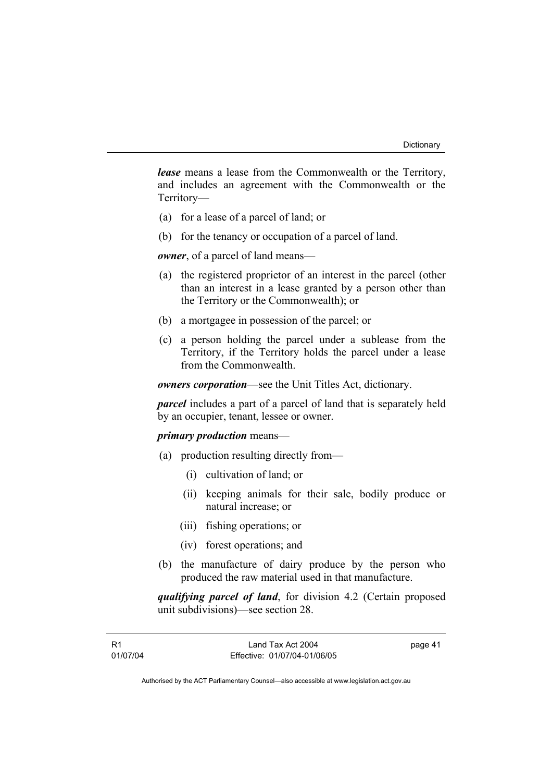*lease* means a lease from the Commonwealth or the Territory, and includes an agreement with the Commonwealth or the Territory—

- (a) for a lease of a parcel of land; or
- (b) for the tenancy or occupation of a parcel of land.

*owner*, of a parcel of land means—

- (a) the registered proprietor of an interest in the parcel (other than an interest in a lease granted by a person other than the Territory or the Commonwealth); or
- (b) a mortgagee in possession of the parcel; or
- (c) a person holding the parcel under a sublease from the Territory, if the Territory holds the parcel under a lease from the Commonwealth.

*owners corporation*—see the Unit Titles Act, dictionary.

*parcel* includes a part of a parcel of land that is separately held by an occupier, tenant, lessee or owner.

#### *primary production* means—

- (a) production resulting directly from—
	- (i) cultivation of land; or
	- (ii) keeping animals for their sale, bodily produce or natural increase; or
	- (iii) fishing operations; or
	- (iv) forest operations; and
- (b) the manufacture of dairy produce by the person who produced the raw material used in that manufacture.

*qualifying parcel of land*, for division 4.2 (Certain proposed unit subdivisions)—see section 28.

page 41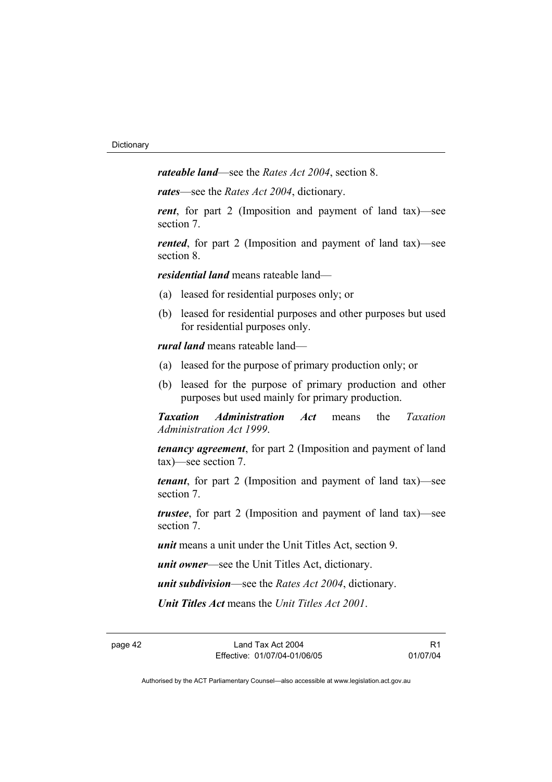*rateable land*—see the *Rates Act 2004*, section 8.

*rates*—see the *Rates Act 2004*, dictionary.

*rent*, for part 2 (Imposition and payment of land tax)—see section 7.

*rented*, for part 2 (Imposition and payment of land tax)—see section 8.

*residential land* means rateable land—

- (a) leased for residential purposes only; or
- (b) leased for residential purposes and other purposes but used for residential purposes only.

*rural land* means rateable land—

- (a) leased for the purpose of primary production only; or
- (b) leased for the purpose of primary production and other purposes but used mainly for primary production.

*Taxation Administration Act* means the *Taxation Administration Act 1999*.

*tenancy agreement*, for part 2 (Imposition and payment of land tax)—see section 7.

*tenant*, for part 2 (Imposition and payment of land tax)—see section 7.

*trustee*, for part 2 (Imposition and payment of land tax)—see section 7.

*unit* means a unit under the Unit Titles Act, section 9.

*unit owner*—see the Unit Titles Act, dictionary.

*unit subdivision*—see the *Rates Act 2004*, dictionary.

*Unit Titles Act* means the *Unit Titles Act 2001*.

R1 01/07/04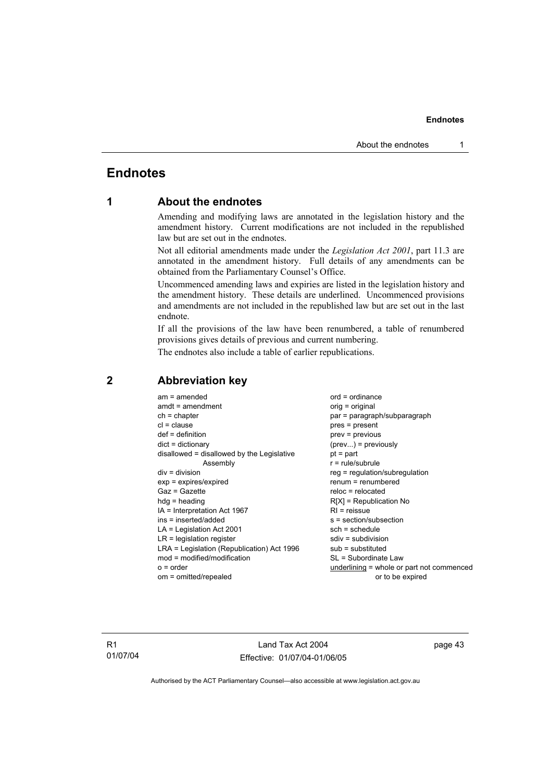#### **Endnotes**

### **Endnotes**

### **1 About the endnotes**

Amending and modifying laws are annotated in the legislation history and the amendment history. Current modifications are not included in the republished law but are set out in the endnotes.

Not all editorial amendments made under the *Legislation Act 2001*, part 11.3 are annotated in the amendment history. Full details of any amendments can be obtained from the Parliamentary Counsel's Office.

Uncommenced amending laws and expiries are listed in the legislation history and the amendment history. These details are underlined. Uncommenced provisions and amendments are not included in the republished law but are set out in the last endnote.

If all the provisions of the law have been renumbered, a table of renumbered provisions gives details of previous and current numbering.

The endnotes also include a table of earlier republications.

| $am = amended$                             | $ord = ordinance$                         |
|--------------------------------------------|-------------------------------------------|
| $amdt = amendment$                         | orig = original                           |
| $ch = chapter$                             | par = paragraph/subparagraph              |
| $cl = clause$                              | $pres = present$                          |
| $def = definition$                         | $prev = previous$                         |
| $dict = dictionary$                        | $(\text{prev})$ = previously              |
| disallowed = disallowed by the Legislative | $pt = part$                               |
| Assembly                                   | $r = rule/subrule$                        |
| $div = division$                           | $reg = regulation/subregulation$          |
| $exp = expires/expired$                    | $renum = renumbered$                      |
| $Gaz = Gazette$                            | $reloc = relocated$                       |
| $hda =$ heading                            | $R[X]$ = Republication No                 |
| $IA = Interpretation Act 1967$             | $R1$ = reissue                            |
| ins = inserted/added                       | $s = section/subsection$                  |
| $LA =$ Legislation Act 2001                | $sch = schedule$                          |
| $LR =$ legislation register                | $sdiv = subdivision$                      |
| LRA = Legislation (Republication) Act 1996 | $sub =$ substituted                       |
| $mod = modified/modification$              | SL = Subordinate Law                      |
| $o = order$                                | underlining = whole or part not commenced |
| om = omitted/repealed                      | or to be expired                          |

#### **2 Abbreviation key**

R1 01/07/04

Land Tax Act 2004 Effective: 01/07/04-01/06/05 page 43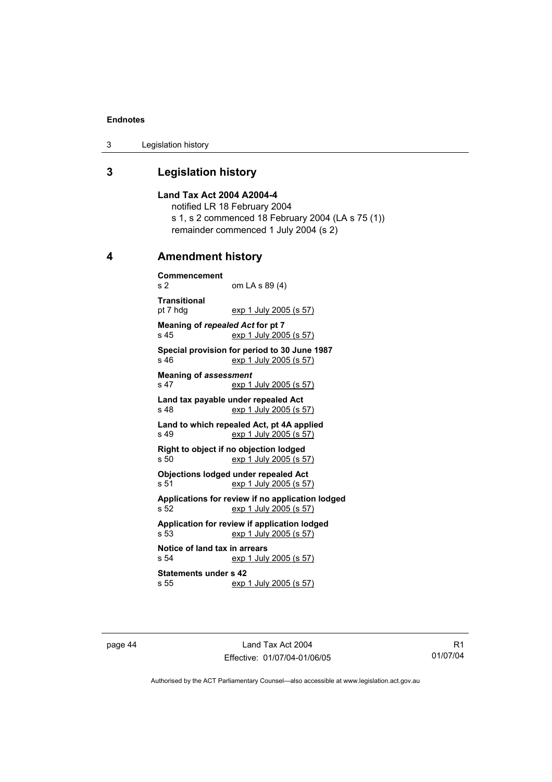#### **Endnotes**

3 Legislation history

### **3 Legislation history**

**Land Tax Act 2004 A2004-4**  notified LR 18 February 2004 s 1, s 2 commenced 18 February 2004 (LA s 75 (1)) remainder commenced 1 July 2004 (s 2)

#### **4 Amendment history**

**Commencement**  om LA s 89 (4) **Transitional**  exp 1 July 2005 (s 57) **Meaning of** *repealed Act* **for pt 7**  s 45 exp 1 July 2005 (s 57) **Special provision for period to 30 June 1987**  s 46 exp 1 July 2005 (s 57) **Meaning of** *assessment* s 47 exp 1 July 2005 (s 57) **Land tax payable under repealed Act**  s 48 exp 1 July 2005 (s 57) **Land to which repealed Act, pt 4A applied**  s 49 exp 1 July 2005 (s 57) **Right to object if no objection lodged**  s 50 exp 1 July 2005 (s 57) **Objections lodged under repealed Act**  s 51 exp 1 July 2005 (s 57) **Applications for review if no application lodged**  s 52 exp 1 July 2005 (s 57) **Application for review if application lodged**  s 53 exp 1 July 2005 (s 57) **Notice of land tax in arrears**  s 54 exp 1 July 2005 (s 57) **Statements under s 42**  s 55 exp 1 July 2005 (s 57)

page 44 Land Tax Act 2004 Effective: 01/07/04-01/06/05

R1 01/07/04